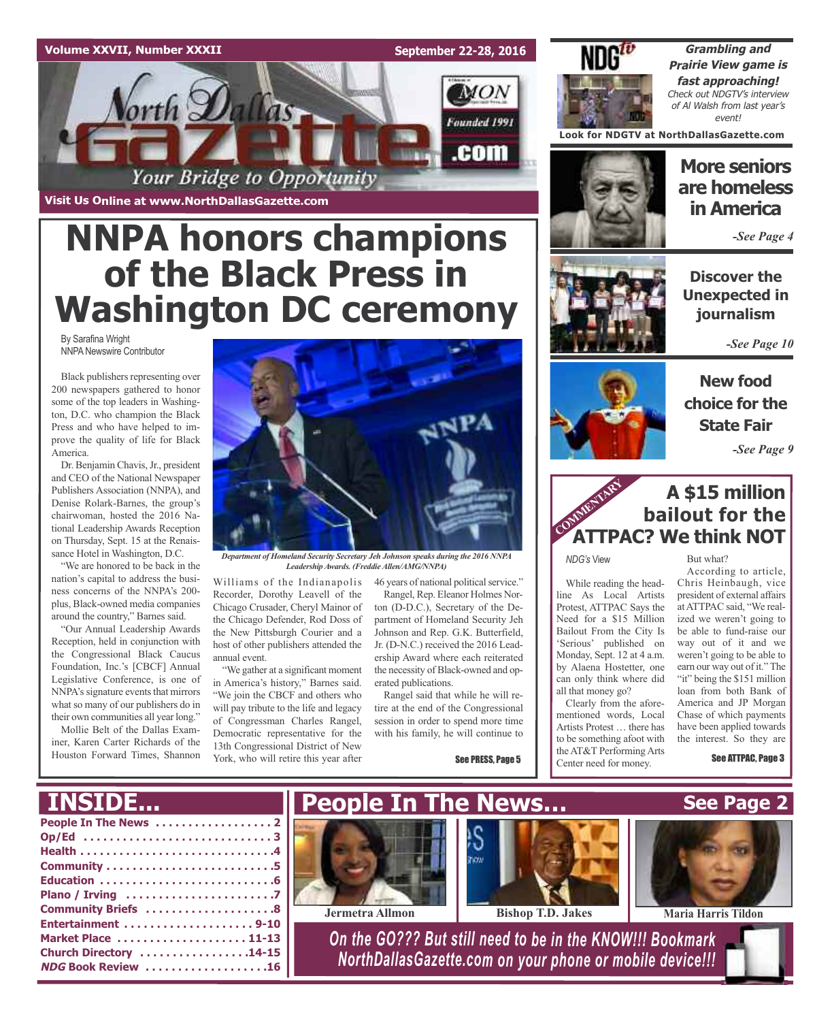## **Volume XXVII, Number XXXII**

**Visit Us Online at www.NorthDallasGazette.com**

**September 22-28, 2016**

**MON** 

Founded 1991

.com



**Grambling and Prairie View game is fast approaching!** Check out NDGTV's interview of Al Walsh from last year's event!

**Look for NDGTV at NorthDallasGazette.com**

# **More seniors are homeless in America**

*-See Page 4*

**Discover the Unexpected in journalism**

*-See Page 10*

**New food**



**A \$15 million bailout for the ATTPAC? We think NOT** COMMENTARY **COMMENT** 

*NDG's* View

While reading the headline As Local Artists Protest, ATTPAC Says the Need for a \$15 Million Bailout From the City Is 'Serious' published on Monday, Sept. 12 at 4 a.m. by Alaena Hostetter, one can only think where did all that money go?

Clearly from the aforementioned words, Local Artists Protest … there has to be something afoot with the AT&T Performing Arts Center need for money.

But what?

According to article, Chris Heinbaugh, vice president of external affairs atATTPAC said, "We realized we weren't going to be able to fund-raise our way out of it and we weren't going to be able to earn our way out of it." The "it" being the \$151 million loan from both Bank of America and JP Morgan Chase of which payments have been applied towards the interest. So they are

See ATTPAC, Page 3



Your Bridge to Opportunity

NNPA Newswire Contributor

Black publishers representing over 200 newspapers gathered to honor some of the top leaders in Washington, D.C. who champion the Black Press and who have helped to improve the quality of life for Black America.

Dr. Benjamin Chavis, Jr., president and CEO of the National Newspaper Publishers Association (NNPA), and Denise Rolark-Barnes, the group's chairwoman, hosted the 2016 National Leadership Awards Reception on Thursday, Sept. 15 at the Renaissance Hotel in Washington, D.C.

"We are honored to be back in the nation's capital to address the business concerns of the NNPA's 200 plus, Black-owned media companies around the country," Barnes said.

"Our Annual Leadership Awards Reception, held in conjunction with the Congressional Black Caucus Foundation, Inc.'s [CBCF] Annual Legislative Conference, is one of NNPA's signature events that mirrors what so many of our publishers do in their own communities all year long."

Mollie Belt of the Dallas Examiner, Karen Carter Richards of the Houston Forward Times, Shannon



*Department of Homeland Security Secretary Jeh Johnson speaks during the 2016 NNPA LeadershipAwards. (FreddieAllen/AMG/NNPA)*

Williams of the Indianapolis Recorder, Dorothy Leavell of the Chicago Crusader, Cheryl Mainor of the Chicago Defender, Rod Doss of the New Pittsburgh Courier and a host of other publishers attended the annual event.

"We gather at a significant moment in America's history," Barnes said. "We join the CBCF and others who will pay tribute to the life and legacy of Congressman Charles Rangel, Democratic representative for the 13th Congressional District of New York, who will retire this year after

46 years of national political service." Rangel, Rep. Eleanor Holmes Norton (D-D.C.), Secretary of the Department of Homeland Security Jeh Johnson and Rep. G.K. Butterfield,

Jr. (D-N.C.) received the 2016 Leadership Award where each reiterated the necessity of Black-owned and operated publications.

Rangel said that while he will retire at the end of the Congressional session in order to spend more time with his family, he will continue to

See PRESS, Page 5



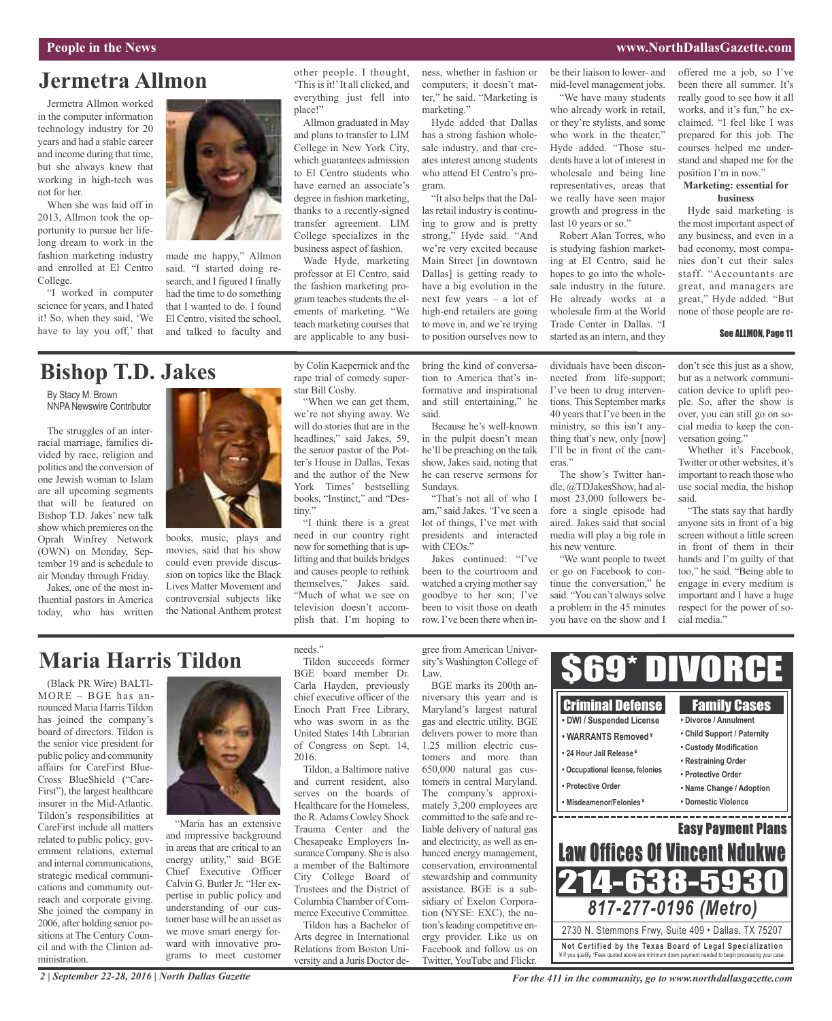### **People in the News www.NorthDallasGazette.com**

# **Jermetra Allmon**

Jermetra Allmon worked in the computer information technology industry for 20 years and had a stable career and income during that time, but she always knew that working in high-tech was not for her.

When she was laid off in 2013, Allmon took the opportunity to pursue her lifelong dream to work in the fashion marketing industry and enrolled at El Centro College.

"I worked in computer science for years, and I hated it! So, when they said, 'We have to lay you off,' that



made me happy," Allmon said. "I started doing research, and I figured I finally had the time to do something that I wanted to do. I found El Centro, visited the school, and talked to faculty and

# **Bishop T.D. Jakes**

By Stacy M. Brown NNPA Newswire Contributor

The struggles of an interracial marriage, families divided by race, religion and politics and the conversion of one Jewish woman to Islam are all upcoming segments that will be featured on Bishop T.D. Jakes' new talk show which premieres on the Oprah Winfrey Network (OWN) on Monday, September 19 and is schedule to air Monday through Friday.

Jakes, one of the most influential pastors in America today, who has written



books, music, plays and movies, said that his show could even provide discussion on topics like the Black Lives Matter Movement and controversial subjects like the National Anthem protest by Colin Kaepernick and the rape trial of comedy superstar Bill Cosby.

other people. I thought, 'Thisisit!'It all clicked, and everything just fell into

Allmon graduated in May and plans to transfer to LIM College in New York City, which guarantees admission to El Centro students who have earned an associate's degree in fashion marketing, thanks to a recently-signed transfer agreement. LIM College specializes in the business aspect of fashion. Wade Hyde, marketing professor at El Centro, said the fashion marketing program teaches students the elements of marketing. "We teach marketing courses that are applicable to any busi-

place!"

"When we can get them, we're not shying away. We will do stories that are in the headlines," said Jakes, 59, the senior pastor of the Potter's House in Dallas, Texas and the author of the New York Times' bestselling books, "Instinct," and "Destiny."

"I think there is a great need in our country right now forsomething that is uplifting and that builds bridges and causes people to rethink themselves," Jakes said. "Much of what we see on television doesn't accomplish that. I'm hoping to

ness, whether in fashion or computers; it doesn't matter," he said. "Marketing is marketing."

Hyde added that Dallas has a strong fashion wholesale industry, and that creates interest among students who attend El Centro's program.

"It also helps that the Dallas retail industry is continuing to grow and is pretty strong," Hyde said. "And we're very excited because Main Street [in downtown Dallas] is getting ready to have a big evolution in the next few years – a lot of high-end retailers are going to move in, and we're trying to position ourselves now to

bring the kind of conversation to America that's informative and inspirational and still entertaining," he

Because he's well-known in the pulpit doesn't mean he'll be preaching on the talk show, Jakes said, noting that he can reserve sermons for

"That's not all of who I am," said Jakes. "I've seen a lot of things, I've met with presidents and interacted

Jakes continued: "I've been to the courtroom and watched a crying mother say goodbye to her son; I've been to visit those on death row. I've been there when in-

said.

Sundays.

with CEOs."

be their liaison to lower- and mid-level management jobs.

"We have many students who already work in retail, or they're stylists, and some who work in the theater," Hyde added. "Those students have a lot of interest in wholesale and being line representatives, areas that we really have seen major growth and progress in the last 10 years or so."

Robert Alan Torres, who is studying fashion marketing at El Centro, said he hopes to go into the wholesale industry in the future. He already works at a wholesale firm at the World Trade Center in Dallas. "I started as an intern, and they

The show's Twitter handle, @TDJakesShow, had almost 23,000 followers before a single episode had aired. Jakes said that social media will play a big role in

"We want people to tweet or go on Facebook to continue the conversation," he said. "You can't always solve a problem in the 45 minutes you have on the show and I

eras."

his new venture.

offered me a job, so I've been there all summer. It's really good to see how it all works, and it's fun," he exclaimed. "I feel like I was prepared for this job. The courses helped me understand and shaped me for the position I'm in now."

#### **Marketing: essential for business**

Hyde said marketing is the most important aspect of any business, and even in a bad economy, most companies don't cut their sales staff. "Accountants are great, and managers are great," Hyde added. "But none of those people are re-

#### See ALLMON, Page 11

dividuals have been disconnected from life-support; I've been to drug interventions. This September marks 40 years that I've been in the ministry, so this isn't anything that's new, only [now] I'll be in front of the camdon't see this just as a show, but as a network communication device to uplift people. So, after the show is over, you can still go on social media to keep the conversation going." Whether it's Facebook,

Twitter or other websites, it's important to reach those who use social media, the bishop said.

"The stats say that hardly anyone sits in front of a big screen without a little screen in front of them in their hands and I'm guilty of that too," he said. "Being able to engage in every medium is important and I have a huge respect for the power of social media."

#### gree from American University's Washington College of  $69*$  D Law. BGE marks its 200th anniversary this yearr and is Criminal Defense Family Cases Maryland's largest natural **• DWI / Suspended License • Divorce / Annulment** gas and electric utility. BGE delivers power to more than **• Child Support / Paternity • WARRANTS Removed ¥** 1.25 million electric cus-**• Custody Modification • 24 Hour Jail Release ¥** tomers and more than **• Restraining Order** 650,000 natural gas cus-**• Occupational license, felonies • Protective Order** tomers in central Maryland. **• Protective Order • Name Change / Adoption** The company's approxi-**• Misdeamenor/Felonies ¥ • Domestic Violence** mately 3,200 employees are and the control of the control of the control of the control of the control of \_\_\_\_\_\_\_\_\_\_\_\_ committed to the safe and re-Easy Payment Plans liable delivery of natural gas and electricity, as well as en-Law Offices Of Vincent Ndukwe hanced energy management, conservation, environmental 214-638-5930 stewardship and community assistance. BGE is a subsidiary of Exelon Corpora-*817-277-0196 (Metro)* tion (NYSE: EXC), the nation's leading competitive en-2730 N. Stemmons Frwy, Suite 409 • Dallas, TX 75207 ergy provider. Like us on **Not Ce rtified by the Te x a s Boa rd of Lega l Spe c ia l i za tion** Facebook and follow us on ¥ If you qualify. \*Fees quoted above are minimum down payment needed to begin processing your case.

# **Maria Harris Tildon**

*2 | September 22-28, 2016 | North Dallas Gazette*

(Black PR Wire) BALTI-MORE – BGE has announced Maria Harris Tildon has joined the company's board of directors. Tildon is the senior vice president for public policy and community affairs for CareFirst Blue-Cross BlueShield ("Care-First"), the largest healthcare insurer in the Mid-Atlantic. Tildon's responsibilities at CareFirst include all matters related to public policy, government relations, external and internal communications, strategic medical communications and community outreach and corporate giving. She joined the company in 2006, after holding senior positions at The Century Council and with the Clinton administration.



"Maria has an extensive and impressive background in areas that are critical to an energy utility," said BGE Chief Executive Officer Calvin G. Butler Jr. "Her expertise in public policy and understanding of our customer base will be an asset as we move smart energy forward with innovative programs to meet customer needs."

Tildon succeeds former BGE board member Dr. Carla Hayden, previously chief executive officer of the Enoch Pratt Free Library, who was sworn in as the United States 14th Librarian of Congress on Sept. 14, 2016.

Tildon, a Baltimore native and current resident, also serves on the boards of Healthcare for the Homeless, the R.Adams Cowley Shock Trauma Center and the Chesapeake Employers Insurance Company. She is also a member of the Baltimore City College Board of Trustees and the District of Columbia Chamber of Commerce Executive Committee. Tildon has a Bachelor of

Arts degree in International Relations from Boston University and a Juris Doctor deTwitter, YouTube and Flickr.

*For the 411 in the community, go to www.northdallasgazette.com*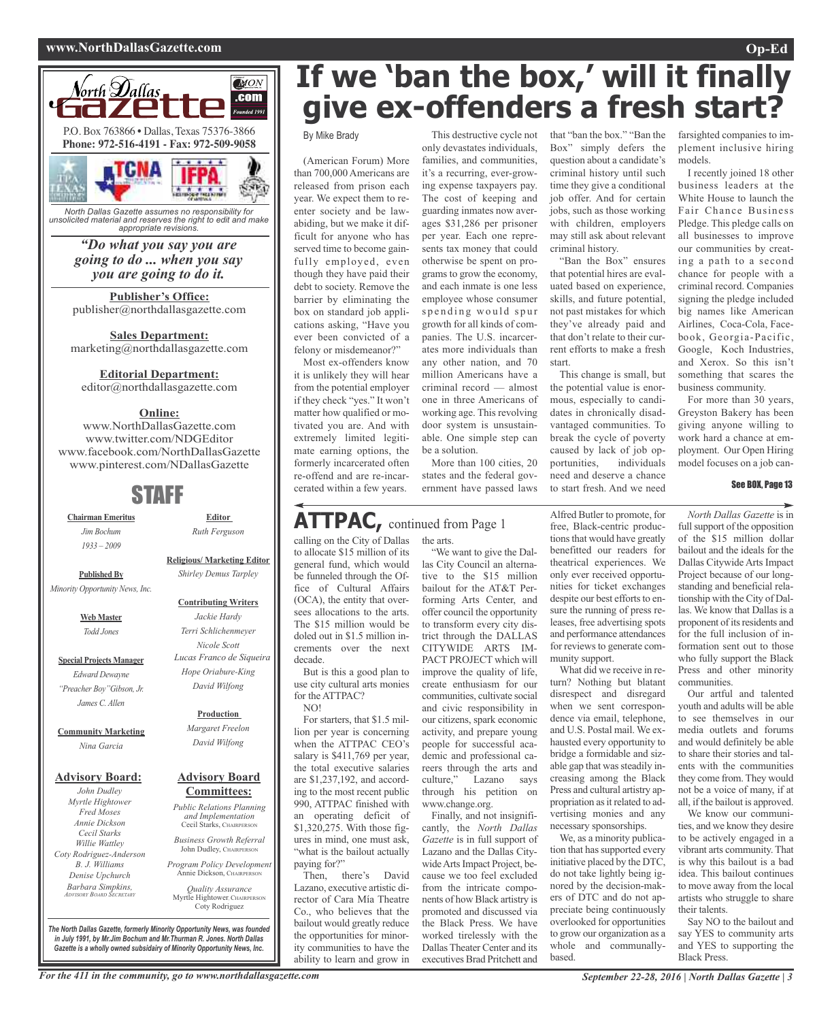## **www.NorthDallasGazette.com Op-Ed**



*unsolicited material and reserves the right to edit and make appropriate revisions.*

> *"Do what you say you are going to do ... when you say you are going to do it.*

**Publisher's Office:** publisher@northdallasgazette.com

**Sales Department:** marketing@northdallasgazette.com

#### **Editorial Department:**

editor@northdallasgazette.com

# **Online:**

www.NorthDallasGazette.com www.twitter.com/NDGEditor www.facebook.com/NorthDallasGazette www.pinterest.com/NDallasGazette

# STAFF

**Chairman Emeritus** *Jim Bochum 1933 – 2009*

**Editor** *Ruth Ferguson*

**Published By** *Minority Opportunity News, Inc.*

> **Web Master** *Todd Jones*

**Special Projects Manager** *Edward Dewayne "Preacher Boy"Gibson, Jr. James C. Allen*

**Community Marketing** *Nina Garcia*

### **Advisory Board:**

*John Dudley Myrtle Hightower Fred Moses Annie Dickson Cecil Starks Willie Wattley Coty Rodriguez-Anderson B. J. Williams Denise Upchurch Barbara Simpkins, ADVISORY BOARD SECRETARY*

**Religious/ Marketing Editor** *Shirley Demus Tarpley*

#### **Contributing Writers**

*Jackie Hardy Terri Schlichenmeyer Nicole Scott Lucas Franco de Siqueira Hope Oriabure-King David Wilfong*

#### **Production**

*Margaret Freelon David Wilfong*

#### **Advisory Board Committees:**

*Public Relations Planning and Implementation* Cecil Starks, CHAIRPERSON

*Business Growth Referral* John Dudley, CHAIRPERSON

*Program Policy Development* Annie Dickson, Chairper

*Quality Assurance* Myrtle Hightower, CHAIRPERSON Coty Rodriguez

*The North Dallas Gazette, formerly Minority Opportunity News, was founded in July 1991, by Mr.Jim Bochum and Mr.Thurman R. Jones. North Dallas Gazette is a wholly owned subsidairy of Minority Opportunity News, Inc.*

# **If we 'ban the box, ' will it finally give ex-offenders a fresh start?**

By Mike Brady

(American Forum) More than 700,000 Americans are released from prison each year. We expect them to reenter society and be lawabiding, but we make it difficult for anyone who has served time to become gainfully employed, even though they have paid their debt to society. Remove the barrier by eliminating the box on standard job applications asking, "Have you ever been convicted of a felony or misdemeanor?"

Most ex-offenders know it is unlikely they will hear from the potential employer if they check "yes." It won't matter how qualified or motivated you are. And with extremely limited legitimate earning options, the formerly incarcerated often re-offend and are re-incarcerated within a few years.

only devastates individuals, families, and communities, it's a recurring, ever-growing expense taxpayers pay. The cost of keeping and guarding inmates now averages \$31,286 per prisoner per year. Each one represents tax money that could otherwise be spent on programs to grow the economy, and each inmate is one less employee whose consumer spending would spur growth for all kinds of companies. The U.S. incarcerates more individuals than any other nation, and 70 million Americans have a criminal record — almost one in three Americans of working age. This revolving door system is unsustainable. One simple step can

More than 100 cities, 20 states and the federal government have passed laws

# **ATTPAC,** continued from Page <sup>1</sup>

calling on the City of Dallas to allocate \$15 million of its general fund, which would be funneled through the Office of Cultural Affairs (OCA), the entity that oversees allocations to the arts. The \$15 million would be doled out in \$1.5 million increments over the next decade.

But is this a good plan to use city cultural arts monies for the ATTPAC?

NO!

For starters, that \$1.5 million per year is concerning when the ATTPAC CEO's salary is \$411,769 per year, the total executive salaries are \$1,237,192, and according to the most recent public 990, ATTPAC finished with an operating deficit of \$1,320,275. With those figures in mind, one must ask, "what is the bailout actually paying for?"

Then, there's David Lazano, executive artistic director of Cara Mía Theatre Co., who believes that the bailout would greatly reduce the opportunities for minority communities to have the ability to learn and grow in

the arts. "We want to give the Dal-

be a solution.

las City Council an alternative to the \$15 million bailout for the AT&T Performing Arts Center, and offer council the opportunity to transform every city district through the DALLAS CITYWIDE ARTS IM-PACT PROJECT which will improve the quality of life, create enthusiasm for our communities, cultivate social and civic responsibility in our citizens, spark economic activity, and prepare young people for successful academic and professional careers through the arts and<br>culture," Lazano says Lazano says through his petition on www.change.org.

Finally, and not insignificantly, the *North Dallas Gazette* is in full support of Lazano and the Dallas Citywide Arts Impact Project, because we too feel excluded from the intricate components of how Black artistry is promoted and discussed via the Black Press. We have worked tirelessly with the Dallas Theater Center and its executives Brad Pritchett and

This destructive cycle not that "ban the box." "Ban the farsighted companies to im-Box" simply defers the question about a candidate's criminal history until such time they give a conditional job offer. And for certain jobs, such as those working with children, employers may still ask about relevant criminal history.

"Ban the Box" ensures that potential hires are evaluated based on experience, skills, and future potential, not past mistakes for which they've already paid and that don't relate to their current efforts to make a fresh start.

This change is small, but the potential value is enormous, especially to candidates in chronically disadvantaged communities. To break the cycle of poverty caused by lack of job op-<br>portunities, individuals portunities, need and deserve a chance to start fresh. And we need

Alfred Butler to promote, for free, Black-centric productions that would have greatly benefitted our readers for theatrical experiences. We only ever received opportunities for ticket exchanges despite our best efforts to ensure the running of press releases, free advertising spots and performance attendances for reviews to generate community support.

What did we receive in return? Nothing but blatant disrespect and disregard when we sent correspondence via email, telephone, and U.S. Postal mail. We exhausted every opportunity to bridge a formidable and sizable gap that was steadily increasing among the Black Press and cultural artistry appropriation as it related to advertising monies and any necessary sponsorships.

We, as a minority publication that has supported every initiative placed by the DTC, do not take lightly being ignored by the decision-makers of DTC and do not appreciate being continuously overlooked for opportunities to grow our organization as a whole and communallybased.

plement inclusive hiring models.

I recently joined 18 other business leaders at the White House to launch the Fair Chance Business Pledge. This pledge calls on all businesses to improve our communities by creating a path to a second chance for people with a criminal record. Companies signing the pledge included big names like American Airlines, Coca-Cola, Facebook, Georgia-Pacific, Google, Koch Industries, and Xerox. So this isn't something that scares the business community.

For more than 30 years, Greyston Bakery has been giving anyone willing to work hard a chance at employment. Our Open Hiring model focuses on a job can-

See BOX, Page 13

*North Dallas Gazette* is in full support of the opposition of the \$15 million dollar bailout and the ideals for the Dallas Citywide Arts Impact Project because of our longstanding and beneficial relationship with the City of Dallas. We know that Dallas is a proponent of its residents and for the full inclusion of information sent out to those who fully support the Black Press and other minority communities.

Our artful and talented youth and adults will be able to see themselves in our media outlets and forums and would definitely be able to share their stories and talents with the communities they come from. They would not be a voice of many, if at all, if the bailout is approved.

We know our communities, and we know they desire to be actively engaged in a vibrant arts community. That is why this bailout is a bad idea. This bailout continues to move away from the local artists who struggle to share their talents.

Say NO to the bailout and say YES to community arts and YES to supporting the Black Press.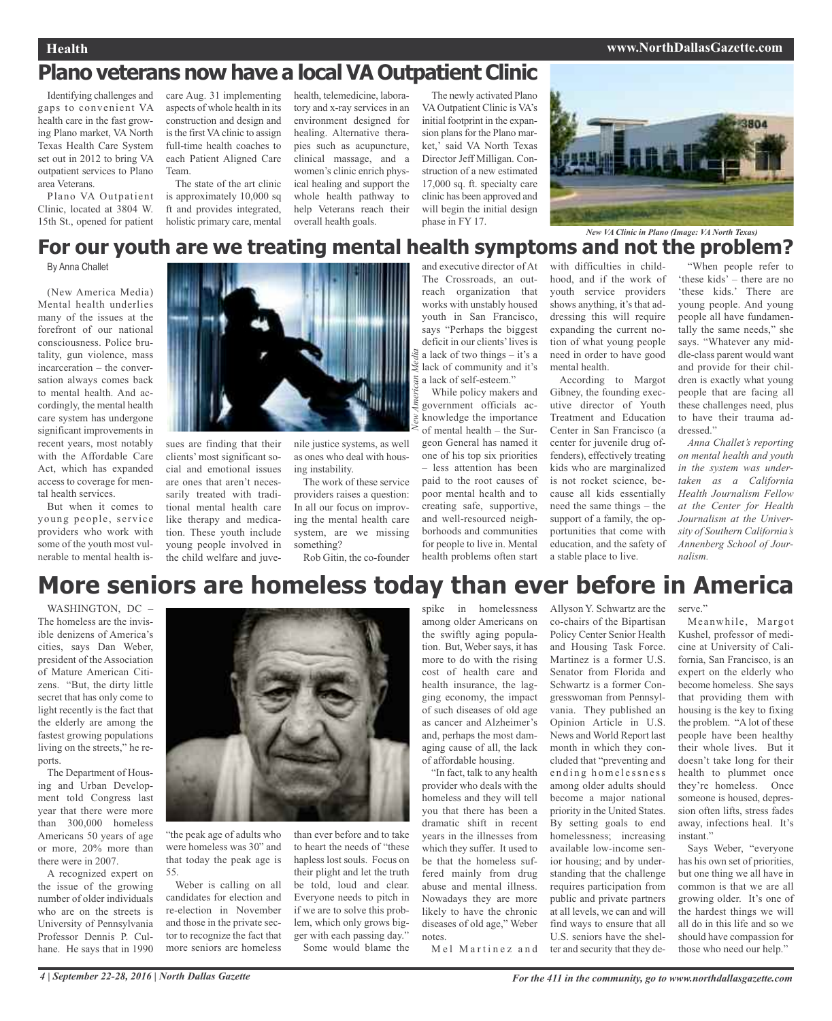# **Plano veterans now have a localVA Outpatient Clinic**

Identifying challenges and gaps to convenient VA health care in the fast growing Plano market, VA North Texas Health Care System set out in 2012 to bring VA outpatient services to Plano area Veterans.

Plano VA Outpatient Clinic, located at 3804 W. 15th St., opened for patient care Aug. 31 implementing aspects of whole health in its construction and design and isthe first VAclinic to assign full-time health coaches to each Patient Aligned Care Team.

The state of the art clinic is approximately 10,000 sq ft and provides integrated, holistic primary care, mental

health, telemedicine, laboratory and x-ray services in an environment designed for healing. Alternative therapies such as acupuncture, clinical massage, and a women's clinic enrich physical healing and support the whole health pathway to help Veterans reach their overall health goals.

The newly activated Plano VAOutpatient Clinic is VA's initial footprint in the expansion plans for the Plano market,' said VA North Texas Director Jeff Milligan. Construction of a new estimated 17,000 sq. ft. specialty care clinic has been approved and will begin the initial design phase in FY 17.



# **For our youth are we treating mental health symptoms and not the problem?**

By Anna Challet

(New America Media) Mental health underlies many of the issues at the forefront of our national consciousness. Police brutality, gun violence, mass incarceration – the conversation always comes back to mental health. And accordingly, the mental health care system has undergone significant improvements in recent years, most notably with the Affordable Care Act, which has expanded access to coverage for mental health services.

But when it comes to young people, service providers who work with some of the youth most vulnerable to mental health is-



sues are finding that their clients' most significant social and emotional issues are ones that aren't necessarily treated with traditional mental health care like therapy and medication. These youth include young people involved in the child welfare and juve-

nile justice systems, as well as ones who deal with hous-*New*

ing instability. The work of these service providers raises a question: In all our focus on improving the mental health care system, are we missing something?

Rob Gitin, the co-founder

and executive director of At The Crossroads, an outreach organization that works with unstably housed youth in San Francisco, says "Perhaps the biggest deficit in our clients'lives is a lack of two things – it's a lack of community and it's a lack of self-esteem."

While policy makers and government officials acknowledge the importance of mental health – the Surgeon General has named it one of his top six priorities – less attention has been paid to the root causes of poor mental health and to creating safe, supportive, and well-resourced neighborhoods and communities for people to live in. Mental health problems often start *A merican Media*

with difficulties in childhood, and if the work of youth service providers shows anything, it's that addressing this will require expanding the current notion of what young people need in order to have good mental health.

According to Margot Gibney, the founding executive director of Youth Treatment and Education Center in San Francisco (a center for juvenile drug offenders), effectively treating kids who are marginalized is not rocket science, because all kids essentially need the same things – the support of a family, the opportunities that come with education, and the safety of a stable place to live.

"When people refer to 'these kids' – there are no 'these kids.' There are young people. And young people all have fundamentally the same needs," she says. "Whatever any middle-class parent would want and provide for their children is exactly what young people that are facing all these challenges need, plus to have their trauma addressed."

*Anna Challet's reporting on mental health and youth in the system was undertaken as a California Health Journalism Fellow at the Center for Health Journalism at the University of Southern California's Annenberg School of Journalism.*

# **More seniors are homeless today than ever before in America**

WASHINGTON, DC – The homeless are the invisible denizens of America's cities, says Dan Weber, president of the Association of Mature American Citizens. "But, the dirty little secret that has only come to light recently is the fact that the elderly are among the fastest growing populations living on the streets," he reports.

The Department of Housing and Urban Development told Congress last year that there were more than 300,000 homeless Americans 50 years of age or more, 20% more than there were in 2007.

A recognized expert on the issue of the growing number of older individuals who are on the streets is University of Pennsylvania Professor Dennis P. Culhane. He says that in 1990



"the peak age of adults who were homeless was 30" and that today the peak age is 55.

Weber is calling on all candidates for election and re-election in November and those in the private sector to recognize the fact that more seniors are homeless

than ever before and to take to heart the needs of "these hapless lost souls. Focus on their plight and let the truth be told, loud and clear. Everyone needs to pitch in if we are to solve this problem, which only grows bigger with each passing day." Some would blame the

spike in homelessness among older Americans on the swiftly aging population. But, Weber says, it has more to do with the rising cost of health care and health insurance, the lagging economy, the impact of such diseases of old age as cancer and Alzheimer's and, perhaps the most damaging cause of all, the lack of affordable housing.

"In fact, talk to any health provider who deals with the homeless and they will tell you that there has been a dramatic shift in recent years in the illnesses from which they suffer. It used to be that the homeless suffered mainly from drug abuse and mental illness. Nowadays they are more likely to have the chronic diseases of old age," Weber notes.

Mel Martinez and

Allyson Y. Schwartz are the co-chairs of the Bipartisan Policy Center Senior Health and Housing Task Force. Martinez is a former U.S. Senator from Florida and Schwartz is a former Congresswoman from Pennsylvania. They published an Opinion Article in U.S. News and World Report last month in which they concluded that "preventing and ending homelessness among older adults should become a major national priority in the United States. By setting goals to end homelessness; increasing available low-income senior housing; and by understanding that the challenge requires participation from public and private partners at all levels, we can and will find ways to ensure that all U.S. seniors have the shelter and security that they de-

serve."

Meanwhile, Margot Kushel, professor of medicine at University of California, San Francisco, is an expert on the elderly who become homeless. She says that providing them with housing is the key to fixing the problem. "A lot of these people have been healthy their whole lives. But it doesn't take long for their health to plummet once they're homeless. Once someone is housed, depression often lifts, stress fades away, infections heal. It's instant."

Says Weber, "everyone has his own set of priorities, but one thing we all have in common is that we are all growing older. It's one of the hardest things we will all do in this life and so we should have compassion for those who need our help."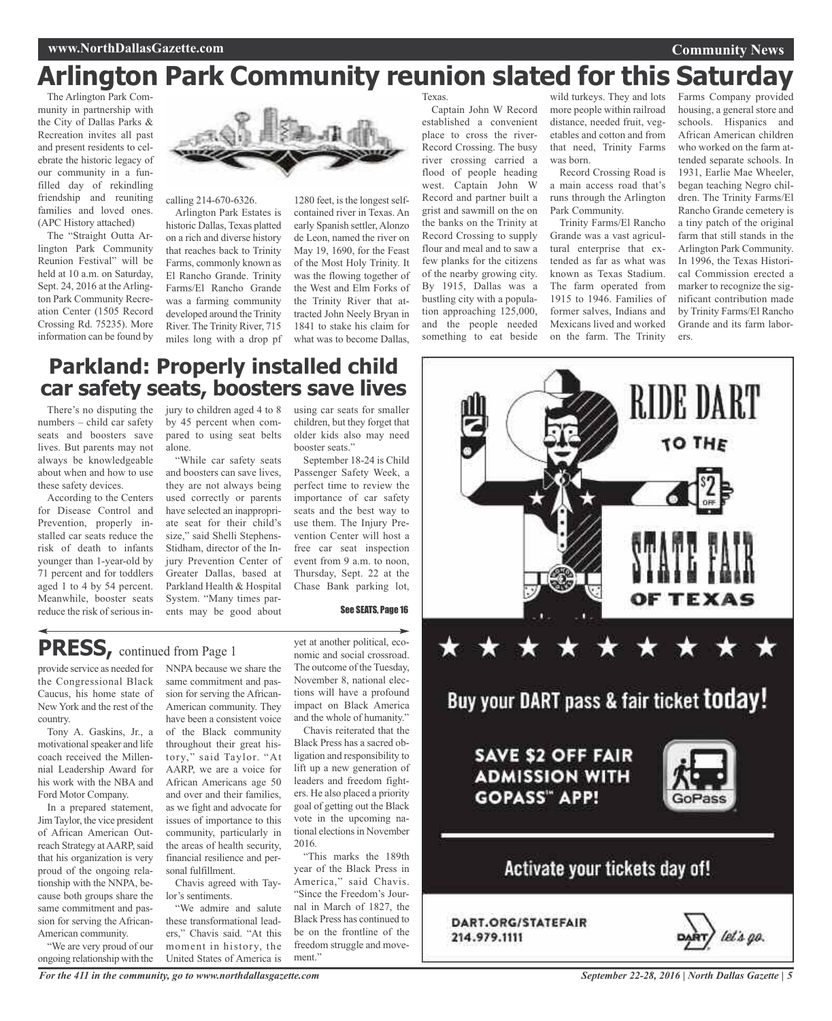# **Arlington Park Community reunion slated for this Saturday**

The Arlington Park Community in partnership with the City of Dallas Parks & Recreation invites all past and present residents to celebrate the historic legacy of our community in a funfilled day of rekindling friendship and reuniting families and loved ones. (APC History attached)

The "Straight Outta Arlington Park Community Reunion Festival" will be held at 10 a.m. on Saturday, Sept. 24, 2016 at the Arlington Park Community Recreation Center (1505 Record Crossing Rd. 75235). More information can be found by



calling 214-670-6326.

Arlington Park Estates is historic Dallas, Texas platted on a rich and diverse history that reaches back to Trinity Farms, commonly known as El Rancho Grande. Trinity Farms/El Rancho Grande was a farming community developed around the Trinity River. The Trinity River, 715 miles long with a drop pf

1280 feet, is the longest selfcontained river in Texas. An early Spanish settler, Alonzo de Leon, named the river on May 19, 1690, for the Feast of the Most Holy Trinity. It was the flowing together of the West and Elm Forks of the Trinity River that attracted John Neely Bryan in 1841 to stake his claim for what was to become Dallas,

**Texas** 

Captain John W Record established a convenient place to cross the river-Record Crossing. The busy river crossing carried a flood of people heading west. Captain John W Record and partner built a grist and sawmill on the on the banks on the Trinity at Record Crossing to supply flour and meal and to saw a few planks for the citizens of the nearby growing city. By 1915, Dallas was a bustling city with a population approaching 125,000, and the people needed something to eat beside

wild turkeys. They and lots more people within railroad distance, needed fruit, vegetables and cotton and from that need, Trinity Farms was born.

Record Crossing Road is a main access road that's runs through the Arlington Park Community.

Trinity Farms/El Rancho Grande was a vast agricultural enterprise that extended as far as what was known as Texas Stadium. The farm operated from 1915 to 1946. Families of former salves, Indians and Mexicans lived and worked on the farm. The Trinity

Farms Company provided housing, a general store and schools. Hispanics and African American children who worked on the farm attended separate schools. In 1931, Earlie Mae Wheeler, began teaching Negro children. The Trinity Farms/El Rancho Grande cemetery is a tiny patch of the original farm that still stands in the Arlington Park Community. In 1996, the Texas Historical Commission erected a marker to recognize the significant contribution made by Trinity Farms/El Rancho Grande and its farm laborers.

RIDE DART

TO THE

**Community News**

# **Parkland: Properly installed child car safety seats, boosters save lives**

There's no disputing the numbers – child car safety seats and boosters save lives. But parents may not always be knowledgeable about when and how to use these safety devices.

According to the Centers for Disease Control and Prevention, properly installed car seats reduce the risk of death to infants younger than 1-year-old by 71 percent and for toddlers aged 1 to 4 by 54 percent. Meanwhile, booster seats reduce the risk of serious injury to children aged 4 to 8 by 45 percent when compared to using seat belts alone.

"While car safety seats and boosters can save lives, they are not always being used correctly or parents have selected an inappropriate seat for their child's size," said Shelli Stephens-Stidham, director of the Injury Prevention Center of Greater Dallas, based at Parkland Health & Hospital System. "Many times parents may be good about

using car seats for smaller children, but they forget that older kids also may need booster seats."

September 18-24 is Child Passenger Safety Week, a perfect time to review the importance of car safety seats and the best way to use them. The Injury Prevention Center will host a free car seat inspection event from 9 a.m. to noon, Thursday, Sept. 22 at the Chase Bank parking lot,

See SEATS, Page 16

# **PRESS,** continued from Page <sup>1</sup>

provide service as needed for the Congressional Black Caucus, his home state of New York and the rest of the country.

Tony A. Gaskins, Jr., a motivational speaker and life coach received the Millennial Leadership Award for his work with the NBA and Ford Motor Company.

In a prepared statement, Jim Taylor, the vice president of African American Outreach Strategy at AARP, said that his organization is very proud of the ongoing relationship with the NNPA, because both groups share the same commitment and passion for serving the African-American community.

"We are very proud of our ongoing relationship with the

same commitment and passion for serving the African-American community. They have been a consistent voice of the Black community throughout their great history," said Taylor. "At AARP, we are a voice for African Americans age 50 and over and their families, as we fight and advocate for issues of importance to this community, particularly in the areas of health security, financial resilience and personal fulfillment.

NNPA because we share the

Chavis agreed with Taylor's sentiments.

"We admire and salute these transformational leaders," Chavis said. "At this moment in history, the United States of America is

yet at another political, economic and social crossroad. The outcome of the Tuesday, November 8, national elections will have a profound impact on Black America and the whole of humanity."

Chavis reiterated that the Black Press has a sacred obligation and responsibility to lift up a new generation of leaders and freedom fighters. He also placed a priority goal of getting out the Black vote in the upcoming national elections in November 2016.

"This marks the 189th year of the Black Press in America," said Chavis. "Since the Freedom's Journal in March of 1827, the Black Press has continued to be on the frontline of the freedom struggle and movement."



DART.ORG/STATEFAIR 214.979.1111

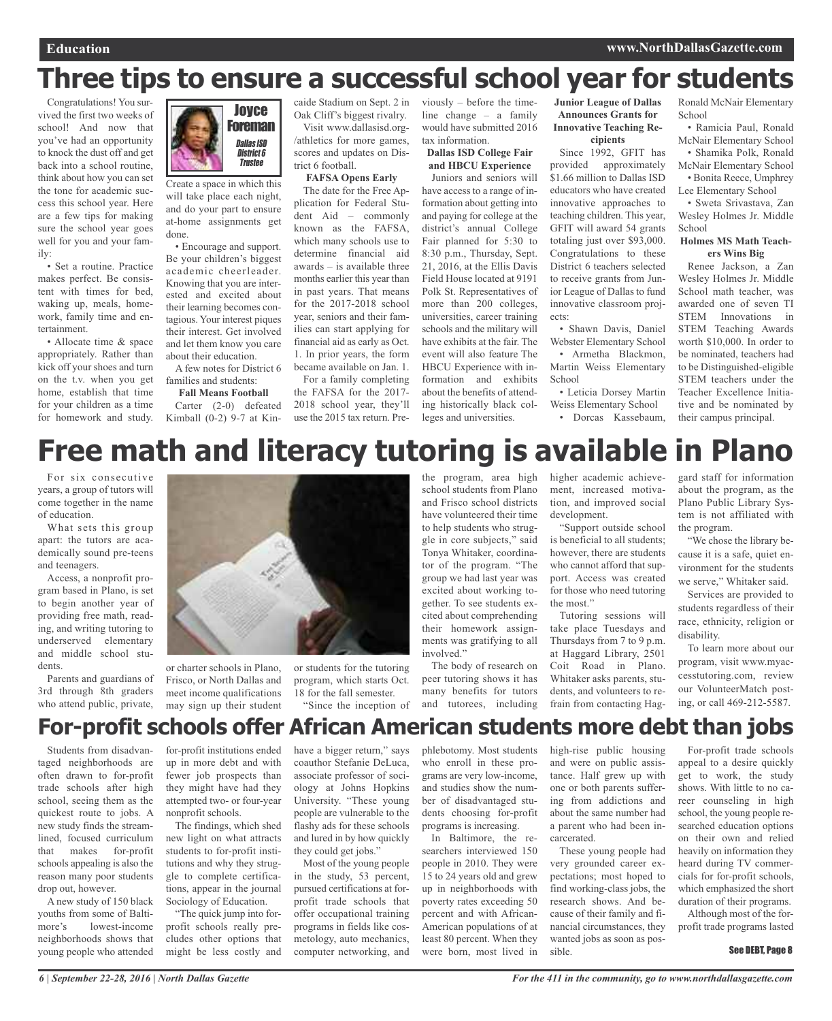# **Three tips to ensure a successful school year for students**

Congratulations! You survived the first two weeks of school! And now that you've had an opportunity to knock the dust off and get back into a school routine, think about how you can set the tone for academic success this school year. Here are a few tips for making sure the school year goes well for you and your family:

• Set a routine. Practice makes perfect. Be consistent with times for bed, waking up, meals, homework, family time and entertainment.

• Allocate time & space appropriately. Rather than kick off your shoes and turn on the t.v. when you get home, establish that time for your children as a time for homework and study.



Create a space in which this will take place each night, and do your part to ensure at-home assignments get done.

• Encourage and support. Be your children's biggest academic cheerleader. Knowing that you are interested and excited about their learning becomes contagious. Your interest piques their interest. Get involved and let them know you care about their education.

A few notes for District 6 families and students:

**Fall Means Football**

Carter (2-0) defeated Kimball (0-2) 9-7 at Kincaide Stadium on Sept. 2 in Oak Cliff's biggest rivalry.

Visit www.dallasisd.org- /athletics for more games, scores and updates on District 6 football.

# **FAFSA Opens Early**

The date for the Free Application for Federal Student Aid – commonly known as the FAFSA, which many schools use to determine financial aid awards – is available three months earlier this year than in past years. That means for the 2017-2018 school year, seniors and their families can start applying for financial aid as early as Oct. 1. In prior years, the form became available on Jan. 1.

For a family completing the FAFSA for the 2017- 2018 school year, they'll use the 2015 tax return. Previously – before the timeline change – a family would have submitted 2016 tax information.

**Dallas ISD College Fair and HBCU Experience**

Juniors and seniors will have access to a range of information about getting into and paying for college at the district's annual College Fair planned for 5:30 to 8:30 p.m., Thursday, Sept. 21, 2016, at the Ellis Davis Field House located at 9191 Polk St. Representatives of more than 200 colleges, universities, career training schools and the military will have exhibits at the fair. The event will also feature The HBCU Experience with information and exhibits about the benefits of attending historically black colleges and universities.

**Junior League of Dallas Announces Grants for Innovative Teaching Re-**

#### **cipients** Since 1992, GFIT has

provided approximately \$1.66 million to Dallas ISD educators who have created innovative approaches to teaching children. This year, GFIT will award 54 grants totaling just over \$93,000. Congratulations to these District 6 teachers selected to receive grants from Junior League of Dallas to fund innovative classroom projects:

• Shawn Davis, Daniel Webster Elementary School • Armetha Blackmon, Martin Weiss Elementary **School** 

• Leticia Dorsey Martin Weiss Elementary School • Dorcas Kassebaum,

Ronald McNair Elementary School

• Ramicia Paul, Ronald McNair Elementary School • Shamika Polk, Ronald McNair Elementary School • Bonita Reece, Umphrey Lee Elementary School

• Sweta Srivastava, Zan Wesley Holmes Jr. Middle **School** 

#### **Holmes MS Math Teachers Wins Big**

Renee Jackson, a Zan Wesley Holmes Jr. Middle School math teacher, was awarded one of seven TI STEM Innovations in STEM Teaching Awards worth \$10,000. In order to be nominated, teachers had to be Distinguished-eligible STEM teachers under the Teacher Excellence Initiative and be nominated by their campus principal.

# **Free math and literacy tutoring is available in Plano**

For six consecutive years, a group of tutors will come together in the name of education.

What sets this group apart: the tutors are academically sound pre-teens and teenagers.

Access, a nonprofit program based in Plano, is set to begin another year of providing free math, reading, and writing tutoring to underserved elementary and middle school students.

Parents and guardians of 3rd through 8th graders who attend public, private,



or charter schools in Plano, Frisco, or North Dallas and meet income qualifications may sign up their student

or students for the tutoring program, which starts Oct. 18 for the fall semester. "Since the inception of

school students from Plano and Frisco school districts have volunteered their time to help students who struggle in core subjects," said Tonya Whitaker, coordinator of the program. "The group we had last year was excited about working together. To see students excited about comprehending their homework assignments was gratifying to all involved."

the program, area high

The body of research on peer tutoring shows it has many benefits for tutors and tutorees, including

higher academic achievement, increased motivation, and improved social development.

"Support outside school is beneficial to all students; however, there are students who cannot afford that support. Access was created for those who need tutoring the most."

Tutoring sessions will take place Tuesdays and Thursdays from 7 to 9 p.m. at Haggard Library, 2501 Coit Road in Plano. Whitaker asks parents, students, and volunteers to refrain from contacting Haggard staff for information about the program, as the Plano Public Library System is not affiliated with the program.

"We chose the library because it is a safe, quiet environment for the students we serve," Whitaker said.

Services are provided to students regardless of their race, ethnicity, religion or disability.

To learn more about our program, visit www.myaccesstutoring.com, review our VolunteerMatch posting, or call 469-212-5587.

# **For-profit schools offer African American students more debt than jobs**

Students from disadvantaged neighborhoods are often drawn to for-profit trade schools after high school, seeing them as the quickest route to jobs. A new study finds the streamlined, focused curriculum that makes for-profit schools appealing is also the reason many poor students drop out, however.

A new study of 150 black youths from some of Baltimore's lowest-income neighborhoods shows that young people who attended

for-profit institutions ended up in more debt and with fewer job prospects than they might have had they attempted two- or four-year nonprofit schools.

The findings, which shed new light on what attracts students to for-profit institutions and why they struggle to complete certifications, appear in the journal Sociology of Education.

"The quick jump into forprofit schools really precludes other options that might be less costly and

have a bigger return," says coauthor Stefanie DeLuca, associate professor of sociology at Johns Hopkins University. "These young people are vulnerable to the flashy ads for these schools and lured in by how quickly they could get jobs."

Most of the young people in the study, 53 percent, pursued certifications at forprofit trade schools that offer occupational training programs in fields like cosmetology, auto mechanics, computer networking, and

phlebotomy. Most students who enroll in these programs are very low-income, and studies show the number of disadvantaged students choosing for-profit programs is increasing.

In Baltimore, the researchers interviewed 150 people in 2010. They were 15 to 24 years old and grew up in neighborhoods with poverty rates exceeding 50 percent and with African-American populations of at least 80 percent. When they were born, most lived in

high-rise public housing and were on public assistance. Half grew up with one or both parents suffering from addictions and about the same number had a parent who had been incarcerated.

These young people had very grounded career expectations; most hoped to find working-class jobs, the research shows. And because of their family and financial circumstances, they wanted jobs as soon as possible.

For-profit trade schools appeal to a desire quickly get to work, the study shows. With little to no career counseling in high school, the young people researched education options on their own and relied heavily on information they heard during TV commercials for for-profit schools, which emphasized the short duration of their programs.

Although most of the forprofit trade programs lasted

#### See DEBT, Page 8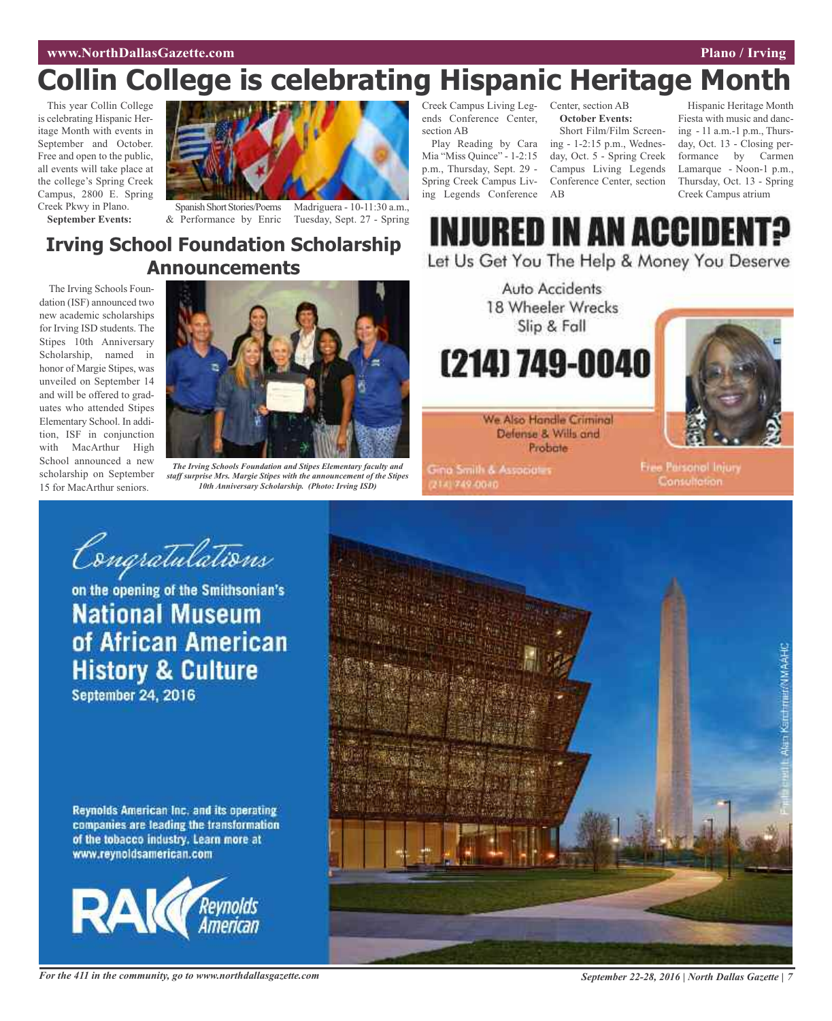# **www.NorthDallasGazette.com Plano / Irving**

# **Collin College is celebrating Hispanic Heritage Month**

This year Collin College is celebrating Hispanic Heritage Month with events in September and October. Free and open to the public, all events will take place at the college's Spring Creek Campus, 2800 E. Spring Creek Pkwy in Plano.



**September Events:**

Spanish Short Stories/Poems Madriguera - 10-11:30 a.m., & Performance by Enric Tuesday, Sept. 27 - Spring

# **Irving School Foundation Scholarship Announcements**

The Irving Schools Foundation (ISF) announced two new academic scholarships for Irving ISD students. The Stipes 10th Anniversary Scholarship, named in honor of Margie Stipes, was unveiled on September 14 and will be offered to graduates who attended Stipes Elementary School. In addition, ISF in conjunction with MacArthur High School announced a new scholarship on September 15 for MacArthur seniors.



*The Irving Schools Foundation and Stipes Elementary faculty and staff surprise Mrs. Margie Stipes with the announcement of the Stipes 10th Anniversary Scholarship. (Photo: Irving ISD)*

Creek Campus Living Leg-Center, section AB ends Conference Center, section AB

Play Reading by Cara Mia "Miss Quince" - 1-2:15 p.m., Thursday, Sept. 29 - Spring Creek Campus Living Legends Conference

**October Events:**

Short Film/Film Screening - 1-2:15 p.m., Wednesday, Oct. 5 - Spring Creek Campus Living Legends Conference Center, section AB

Hispanic Heritage Month Fiesta with music and dancing - 11 a.m.-1 p.m., Thursday, Oct. 13 - Closing performance by Carmen Lamarque - Noon-1 p.m., Thursday, Oct. 13 - Spring Creek Campus atrium



Let Us Get You The Help & Money You Deserve



**Gina Smith & Associates** 2141749-0040

**Free Parsonol Injury Consultation** 

Congratulations

on the opening of the Smithsonian's **National Museum** of African American **History & Culture September 24, 2016** 

Reynolds American Inc. and its operating companies are leading the transformation of the tobacco industry. Learn more at www.reynoldsamerican.com



For the 411 in the community, go to www.northdallasgazette.com September 22-28, 2016 | North Dallas Gazette | 7

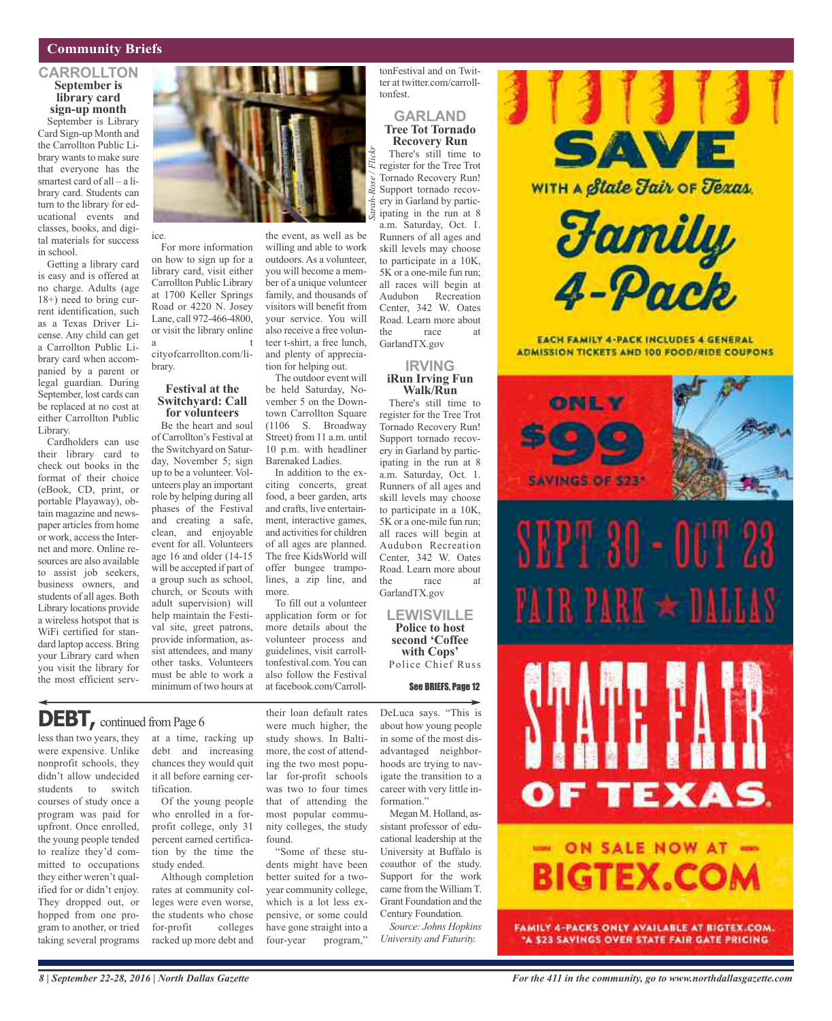# **Community Briefs**

### **CARROLLTON September is library card sign-up month**

September is Library Card Sign-up Month and the Carrollton Public Library wants to make sure that everyone has the smartest card of all – a library card. Students can turn to the library for educational events and classes, books, and digital materials for success in school.

Getting a library card is easy and is offered at no charge. Adults (age 18+) need to bring current identification, such as a Texas Driver License. Any child can get a Carrollton Public Library card when accompanied by a parent or legal guardian. During September, lost cards can be replaced at no cost at either Carrollton Public Library.

Cardholders can use their library card to check out books in the format of their choice (eBook, CD, print, or portable Playaway), obtain magazine and newspaper articles from home or work, access the Internet and more. Online resources are also available to assist job seekers, business owners, and students of all ages. Both Library locations provide a wireless hotspot that is WiFi certified for standard laptop access. Bring your Library card when you visit the library for the most efficient serv-



For more information on how to sign up for a library card, visit either Carrollton Public Library at 1700 Keller Springs Road or 4220 N. Josey Lane, call 972-466-4800, or visit the library online a t

ice.

cityofcarrollton.com/library.

#### **Festival at the Switchyard: Call for volunteers**

Be the heart and soul of Carrollton's Festival at the Switchyard on Saturday, November 5; sign up to be a volunteer. Volunteers play an important role by helping during all phases of the Festival and creating a safe, clean, and enjoyable event for all. Volunteers age 16 and older (14-15 will be accepted if part of a group such as school, church, or Scouts with adult supervision) will help maintain the Festival site, greet patrons, provide information, assist attendees, and many other tasks. Volunteers must be able to work a minimum of two hours at

at a time, racking up debt and increasing chances they would quit it all before earning cer-

Of the young people who enrolled in a forprofit college, only 31 percent earned certification by the time the

Although completion rates at community colleges were even worse, the students who chose for-profit colleges racked up more debt and

tification.

study ended.

the event, as well as be willing and able to work outdoors.As a volunteer, you will become a member of a unique volunteer family, and thousands of visitors will benefit from your service. You will also receive a free volunteer t-shirt, a free lunch, and plenty of appreciation for helping out.

The outdoor event will be held Saturday, November 5 on the Downtown Carrollton Square (1106 S. Broadway Street) from 11 a.m. until 10 p.m. with headliner Barenaked Ladies. In addition to the ex-

citing concerts, great food, a beer garden, arts and crafts, live entertainment, interactive games, and activities for children of all ages are planned. The free KidsWorld will offer bungee trampolines, a zip line, and more.

To fill out a volunteer application form or for more details about the volunteer process and guidelines, visit carrolltonfestival.com. You can also follow the Festival at facebook.com/Carroll-

their loan default rates were much higher, the study shows. In Baltimore, the cost of attending the two most popular for-profit schools was two to four times that of attending the most popular community colleges, the study

"Some of these students might have been better suited for a twoyear community college, which is a lot less expensive, or some could have gone straight into a four-year program,"

found.

tonFestival and on Twitter at twitter.com/carrolltonfest.

### **GARLAND Tree Tot Tornado Recovery Run**

There's still time to register for the Tree Trot Tornado Recovery Run! Support tornado recovery in Garland by participating in the run at 8 a.m. Saturday, Oct. 1. Runners of all ages and skill levels may choose to participate in a 10K, 5K or a one-mile fun run; all races will begin at Audubon Recreation Center, 342 W. Oates Road. Learn more about the race at GarlandTX.gov

# **IRVING iRun Irving Fun Walk/Run**

There's still time to register for the Tree Trot Tornado Recovery Run! Support tornado recovery in Garland by participating in the run at 8 a.m. Saturday, Oct. 1. Runners of all ages and skill levels may choose to participate in a 10K, 5K or a one-mile fun run; all races will begin at Audubon Recreation Center, 342 W. Oates Road. Learn more about the race at GarlandTX.gov

**LEWISVILLE Police to host second 'Coffee with Cops'** Police Chief Russ

### See BRIEFS, Page 12

DeLuca says. "This is about how young people in some of the most disadvantaged neighborhoods are trying to navigate the transition to a career with very little information."

Megan M. Holland, assistant professor of educational leadership at the University at Buffalo is coauthor of the study. Support for the work came from the William T. Grant Foundation and the Century Foundation.

*Source: Johns Hopkins University and Futurity.*



**EACH FAMILY 4-PACK INCLUDES 4 GENERAL ADMISSION TICKETS AND 100 FOOD/RIDE COUPONS** 



# DEBT, continued from Page 6

less than two years, they were expensive. Unlike nonprofit schools, they didn't allow undecided students to switch courses of study once a program was paid for upfront. Once enrolled, the young people tended to realize they'd committed to occupations they either weren't qualified for or didn't enjoy. They dropped out, or hopped from one program to another, or tried taking several programs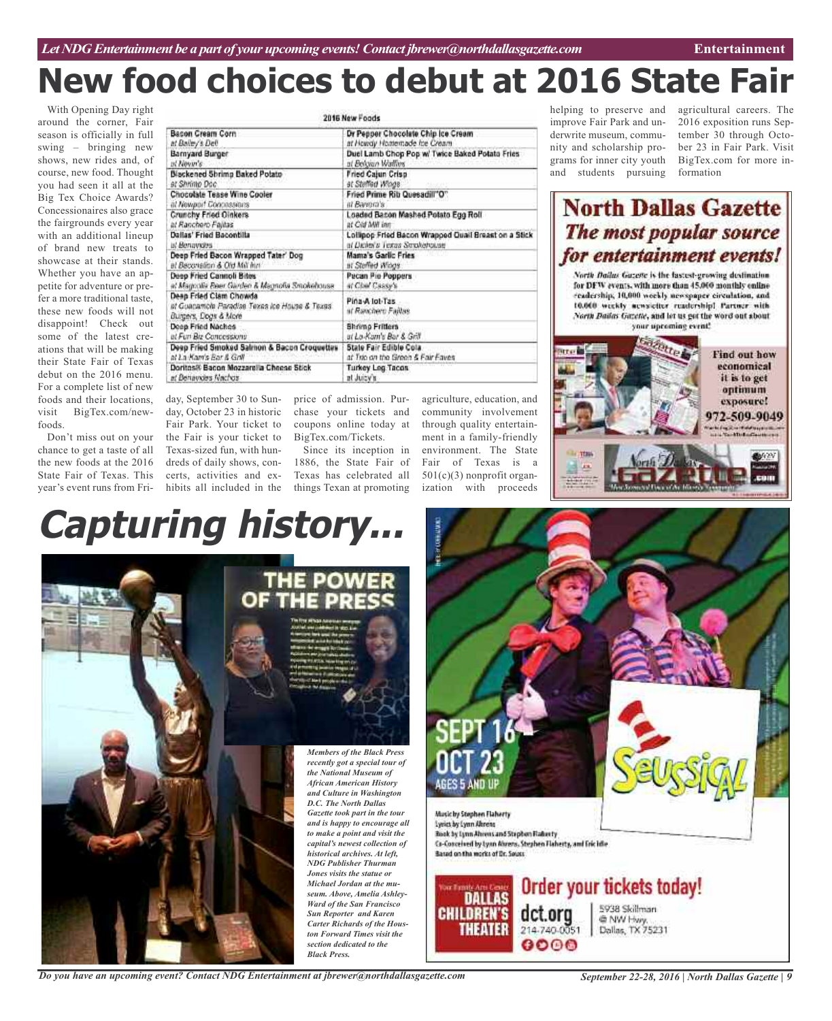# **New food choices to debut at 2016 State Fair**

With Opening Day right around the corner, Fair season is officially in full swing – bringing new shows, new rides and, of course, new food. Thought you had seen it all at the Big Tex Choice Awards? Concessionaires also grace the fairgrounds every year with an additional lineup of brand new treats to showcase at their stands. Whether you have an appetite for adventure or prefer a more traditional taste, these new foods will not disappoint! Check out some of the latest creations that will be making their State Fair of Texas debut on the 2016 menu. For a complete list of new foods and their locations, visit BigTex.com/newfoods.

Don't miss out on your chance to get a taste of all the new foods at the 2016 State Fair of Texas. This year's event runs from Fri-

| 2016 New Foods                                                                                   |                                                      |
|--------------------------------------------------------------------------------------------------|------------------------------------------------------|
| <b>Bacon Cream Corn</b>                                                                          | Dr Pepper Chocolate Chip Ice Cream                   |
| at Balley's Dell                                                                                 | at Howdy Homemade hie Cream                          |
| <b>Barnyard Burger</b>                                                                           | Duel Lamb Chop Pop w/ Twice Baked Potato Fries       |
| at Novar's                                                                                       | at Beloian Watters                                   |
| Blackened Sbrimp Baked Potato                                                                    | Fried Calun Crisp                                    |
| et Shrimo Doc-                                                                                   | at Stuffed Wings                                     |
| Chocolate Tease Wine Cooler                                                                      | Fried Prime Rib Quesadill"O"                         |
| at Newport Concessions                                                                           | at Barrera's:                                        |
| Crunchy Fried Oinkers                                                                            | Loaded Bason Mashed Potato Egg Roll                  |
| at Ranchero Fajitas                                                                              | at Cid MW inn                                        |
| Dallas' Fried Bacontilla                                                                         | Lollipop Fried Bacon Wrapped Quali Breast on a Stick |
| ist Monauvine                                                                                    | at Dicker's Texas Strickehouse                       |
| Deep Fried Bacon Wrapped Tater' Dog                                                              | Mama's Garlic Fries                                  |
| al Bacchallon & Old Mill Inni                                                                    | at Staffed Wings                                     |
| Deep Fried Cannoli Bites                                                                         | Pecan Pie Poppers                                    |
| a: Magnolia Beer Giurden & Magnolia Smokebouse                                                   | at Chil Cassy's                                      |
| Deap Fried Clam Chowda<br>at Guacamola Paradise Texas ice House & Texas.<br>Burgers, Dogs & More | Pina-A lot-Tas<br>at Ranchero Faillas.               |
| Doop Fried Nachos                                                                                | <b>Bhrimp Fritters</b>                               |
| at Fun Biz-Canacstrong                                                                           | at Lo-Kam's Bar & Grill                              |
| Deep Fried Smoked Salmon & Bacon Croquettes                                                      | State Fair Edible Cola                               |
| at La Kam's Bar & Golf                                                                           | at Trio on the Green & Fair Faves                    |
| Doritos® Bacon Mozzarella Cheese Stick                                                           | Turkey Leg Tacos                                     |
| at Behaviors Nachos                                                                              | at Juicy's                                           |

day, September 30 to Sunday, October 23 in historic chase your tickets and Fair Park. Your ticket to the Fair is your ticket to Texas-sized fun, with hundreds of daily shows, concerts, activities and exhibits all included in the

price of admission. Purcoupons online today at BigTex.com/Tickets.

Since its inception in 1886, the State Fair of Texas has celebrated all things Texan at promoting

agriculture, education, and community involvement through quality entertainment in a family-friendly environment. The State Fair of Texas is a 501(c)(3) nonprofit organization with proceeds

helping to preserve and improve Fair Park and underwrite museum, community and scholarship programs for inner city youth and students pursuing

agricultural careers. The 2016 exposition runs September 30 through October 23 in Fair Park. Visit BigTex.com for more information

# **North Dallas Gazette** The most popular source for entertainment events!

North Dailus Guzeste is the fastest-growing destination. for DFW events, with more than 45,000 monthly enline readership, 10,000 workly newspaper circulation, and 10.000 weekly acosiciter readership! Partner with North Bailes Gezette, and let us get the word out about your upcoming event!



# **Capturing history...**





*Do you have an upcoming event? Contact NDG Entertainment at jbrewer@northdallasgazette.com*

*September 22-28, 2016 | North Dallas Gazette | 9*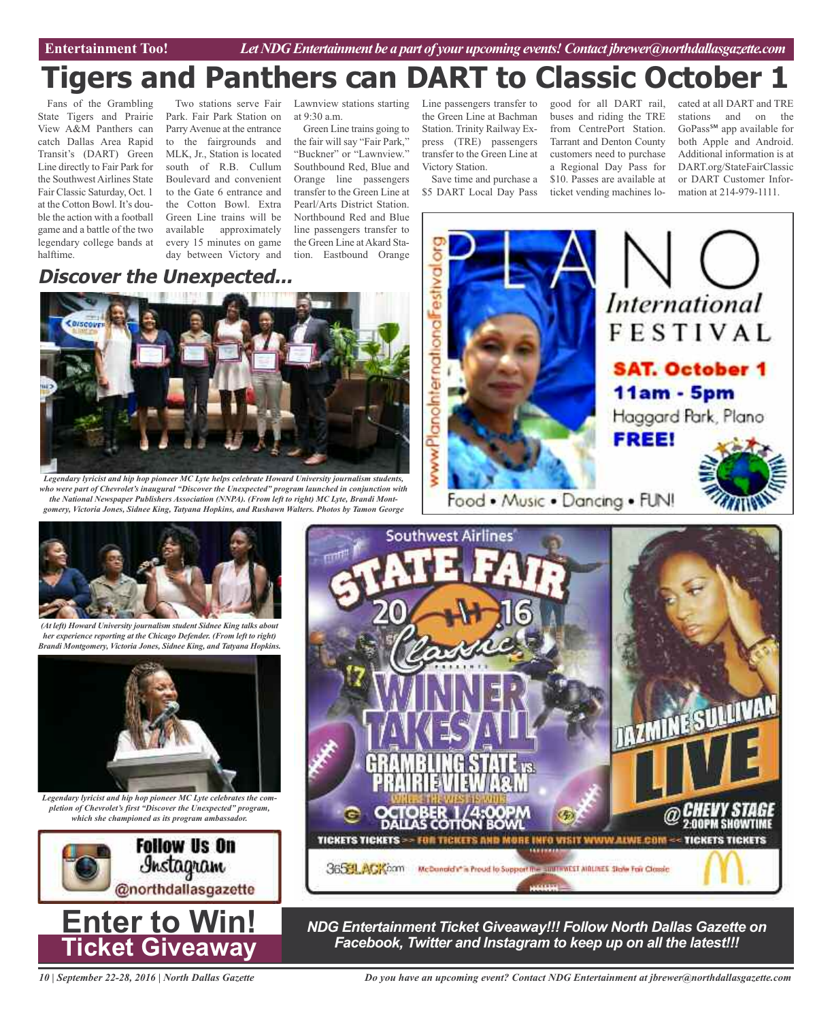Entertainment Too! *Let NDG Entertainment be a part of your upcoming events! Contact jbrewer@northdallasgazette.com* 

# **Tigers and Panthers can DART to Classic October 1**

Fans of the Grambling State Tigers and Prairie View A&M Panthers can catch Dallas Area Rapid Transit's (DART) Green Line directly to Fair Park for the Southwest Airlines State Fair Classic Saturday, Oct. 1 at the Cotton Bowl. It's double the action with a football game and a battle of the two legendary college bands at halftime.

Two stations serve Fair Park. Fair Park Station on ParryAvenue at the entrance to the fairgrounds and MLK, Jr., Station is located south of R.B. Cullum Boulevard and convenient to the Gate 6 entrance and the Cotton Bowl. Extra Green Line trains will be available approximately every 15 minutes on game day between Victory and

Lawnview stations starting at 9:30 a.m.

Green Line trains going to the fair will say "Fair Park," "Buckner" or "Lawnview." Southbound Red, Blue and Orange line passengers transfer to the Green Line at Pearl/Arts District Station. Northbound Red and Blue line passengers transfer to the Green Line at Akard Station. Eastbound Orange

Line passengers transfer to the Green Line at Bachman Station. Trinity Railway Express (TRE) passengers transfer to the Green Line at Victory Station.

Save time and purchase a \$5 DART Local Day Pass

good for all DART rail, buses and riding the TRE from CentrePort Station. Tarrant and Denton County customers need to purchase a Regional Day Pass for \$10. Passes are available at

ticket vending machines lo-

cated at all DART and TRE stations and on the GoPass℠ app available for both Apple and Android. Additional information is at DART.org/StateFairClassic or DART Customer Information at 214-979-1111.

**FIGULARY** 

# **Discover the Unexpected...**



*Legendary lyricist and hip hop pioneer MC Lyte helps celebrate Howard University journalism students, who were part of Chevrolet's inaugural "Discover the Unexpected" program launched in conjunction with the National Newspaper Publishers Association (NNPA). (From left to right) MC Lyte, Brandi Montgomery, Victoria Jones, Sidnee King, Tatyana Hopkins, and Rushawn Walters. Photos by Tamon George*





*(At left) Howard University journalism student Sidnee King talks about her experience reporting at the Chicago Defender. (From left to right) Brandi Montgomery, Victoria Jones, Sidnee King, and Tatyana Hopkins.*



*Legendary lyricist and hip hop pioneer MC Lyte celebrates the completion of Chevrolet's first "Discover the Unexpected" program, which she championed as its program ambassador.*





*10 | September 22-28, 2016 | North Dallas Gazette*



*NDG Entertainment Ticket Giveaway!!! Follow North Dallas Gazette on*

TICKETS TICKETS >> FOR TICKETS AND MORE INFO VISIT WWW.ALWE.COM << TICKETS TICKETS

3654 ACACCO McDunuid it is Proud to Support the authoritist Atlantic State For Closec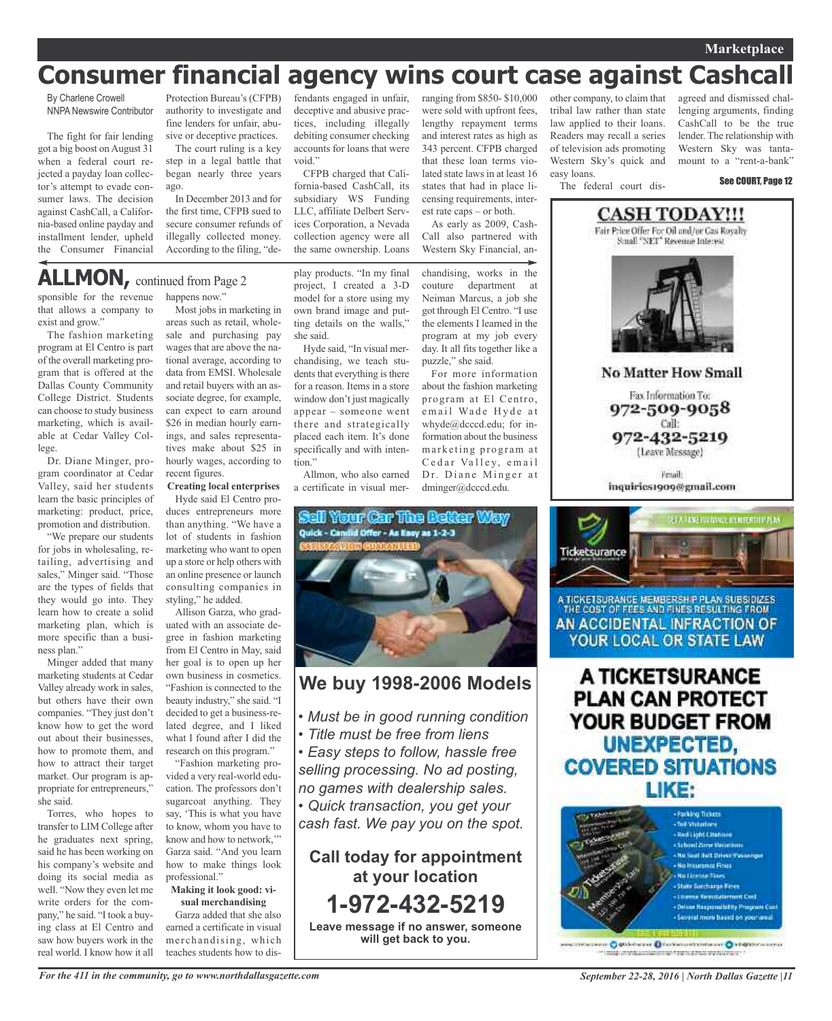## **Marketplace**

# **Consumer financial agency wins court case against Cashcall**

By Charlene Crowell NNPA Newswire Contributor

The fight for fair lending got a big boost onAugust 31 when a federal court rejected a payday loan collector's attempt to evade consumer laws. The decision against CashCall, a California-based online payday and installment lender, upheld the Consumer Financial

Protection Bureau's (CFPB) authority to investigate and fine lenders for unfair, abusive or deceptive practices.

The court ruling is a key step in a legal battle that began nearly three years ago.

In December 2013 and for the first time, CFPB sued to secure consumer refunds of illegally collected money. According to the filing, "defendants engaged in unfair, deceptive and abusive practices, including illegally debiting consumer checking accounts for loans that were void."

CFPB charged that California-based CashCall, its subsidiary WS Funding LLC, affiliate Delbert Services Corporation, a Nevada collection agency were all the same ownership. Loans

ranging from \$850- \$10,000 were sold with upfront fees, lengthy repayment terms and interest rates as high as 343 percent. CFPB charged that these loan terms violated state laws in at least 16 states that had in place licensing requirements, interest rate caps – or both.

As early as 2009, Cash-Call also partnered with Western Sky Financial, an-

the elements I learned in the program at my job every day. It all fits together like a

For more information about the fashion marketing program at El Centro, email Wade Hyde at whyde@dcccd.edu; for information about the business marketing program at Cedar Valley, email Dr. Diane Minger at dminger@dcccd.edu.

puzzle," she said.

chandising, works in the couture department at Neiman Marcus, a job she got through El Centro. "I use

other company, to claim that tribal law rather than state law applied to their loans. Readers may recall a series of television ads promoting Western Sky's quick and easy loans. The federal court dis-

agreed and dismissed challenging arguments, finding CashCall to be the true lender. The relationship with Western Sky was tantamount to a "rent-a-bank"

See COURT, Page 12



**No Matter How Small** 

Fax Information To: 972-509-9058 Call: 972-432-5219 (Leave Message)

**Email** inquiries1909@gmail.com



A TICKETSURANCE MEMBERSH P PLAN SUBSIDIZES THE COST OF FEES AND FINES RESULTING FROM AN ACCIDENTAL INFRACTION OF YOUR LOCAL OR STATE LAW

A TICKETSURANCE **PLAN CAN PROTECT** YOUR BUDGET FROM **UNEXPECTED, COVERED SITUATIONS** LIKE:



miscanno O gittebalane Dinebaltominenen O kilopomiaarraa mak unterstationsmittight reprint that memorials in

# **ALLMON,** continued from Page <sup>2</sup>

sponsible for the revenue that allows a company to exist and grow."

The fashion marketing program at El Centro is part of the overall marketing program that is offered at the Dallas County Community College District. Students can choose to study business marketing, which is available at Cedar Valley College.

Dr. Diane Minger, program coordinator at Cedar Valley, said her students learn the basic principles of marketing: product, price, promotion and distribution.

"We prepare our students for jobs in wholesaling, retailing, advertising and sales," Minger said. "Those are the types of fields that they would go into. They learn how to create a solid marketing plan, which is more specific than a business plan."

Minger added that many marketing students at Cedar Valley already work in sales, but others have their own companies. "They just don't know how to get the word out about their businesses, how to promote them, and how to attract their target market. Our program is appropriate for entrepreneurs," she said.

Torres, who hopes to transfer to LIM College after he graduates next spring, said he has been working on his company's website and doing its social media as well. "Now they even let me write orders for the company," he said. "I took a buying class at El Centro and saw how buyers work in the real world. I know how it all happens now."

Most jobs in marketing in areas such as retail, wholesale and purchasing pay wages that are above the national average, according to data from EMSI. Wholesale and retail buyers with an associate degree, for example, can expect to earn around \$26 in median hourly earnings, and sales representatives make about \$25 in hourly wages, according to recent figures.

**Creating local enterprises**

Hyde said El Centro produces entrepreneurs more than anything. "We have a lot of students in fashion marketing who want to open up a store or help others with an online presence or launch consulting companies in styling," he added.

Allison Garza, who graduated with an associate degree in fashion marketing from El Centro in May, said her goal is to open up her own business in cosmetics. "Fashion is connected to the beauty industry," she said. "I decided to get a business-related degree, and I liked what I found after I did the research on this program."

"Fashion marketing provided a very real-world education. The professors don't sugarcoat anything. They say, 'This is what you have to know, whom you have to know and how to network,'" Garza said. "And you learn how to make things look professional."

### **Making it look good: visual merchandising**

Garza added that she also earned a certificate in visual merchandising, which teaches students how to dis-

play products. "In my final project, I created a 3-D model for a store using my own brand image and putting details on the walls," she said.

Hyde said, "In visual merchandising, we teach students that everything is there for a reason. Items in a store window don't just magically appear – someone went there and strategically placed each item. It's done specifically and with intention."

Allmon, who also earned a certificate in visual mer-



# **We buy 1998-2006 Models**

- *• Must be in good running condition*
- *• Title must be free from liens*

*• Easy steps to follow, hassle free selling processing. No ad posting, no games with dealership sales.*

*• Quick transaction, you get your cash fast. We pay you on the spot.*

**Call today for appointment at your location 1-972-432-5219 Leave message if no answer, someone**

**will get back to you.**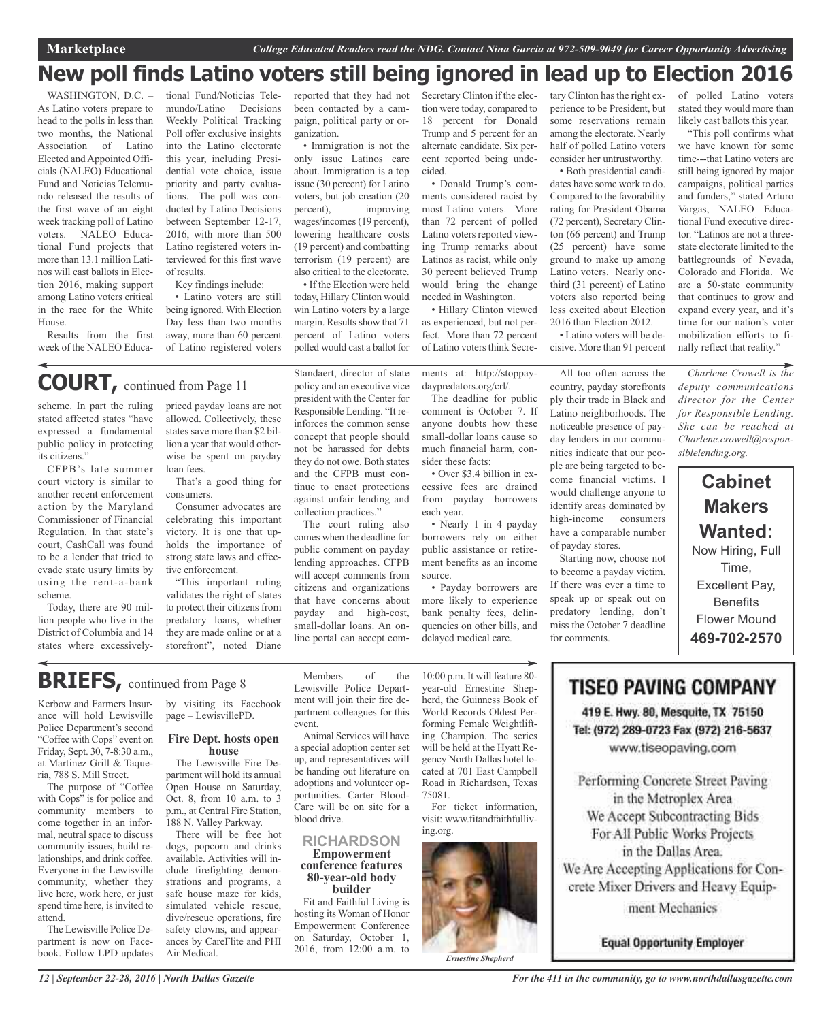# **New poll finds Latino voters still being ignored in lead up to Election 2016**

WASHINGTON, D.C. -As Latino voters prepare to head to the polls in less than two months, the National Association of Latino Elected and Appointed Officials (NALEO) Educational Fund and Noticias Telemundo released the results of the first wave of an eight week tracking poll of Latino voters. NALEO Educational Fund projects that more than 13.1 million Latinos will cast ballots in Election 2016, making support among Latino voters critical in the race for the White House.

Results from the first week of the NALEO Educa-

tional Fund/Noticias Telemundo/Latino Decisions Weekly Political Tracking Poll offer exclusive insights into the Latino electorate this year, including Presidential vote choice, issue priority and party evaluations. The poll was conducted by Latino Decisions between September 12-17, 2016, with more than 500 Latino registered voters interviewed for this first wave of results.

Key findings include:

• Latino voters are still being ignored. With Election Day less than two months away, more than 60 percent of Latino registered voters

reported that they had not been contacted by a campaign, political party or organization.

• Immigration is not the only issue Latinos care about. Immigration is a top issue (30 percent) for Latino voters, but job creation (20 percent), improving wages/incomes (19 percent), lowering healthcare costs (19 percent) and combatting terrorism (19 percent) are also critical to the electorate. • If the Election were held

today, Hillary Clinton would win Latino voters by a large margin. Results show that 71 percent of Latino voters polled would cast a ballot for

Secretary Clinton if the election were today, compared to 18 percent for Donald Trump and 5 percent for an alternate candidate. Six percent reported being undecided.

• Donald Trump's comments considered racist by most Latino voters. More than 72 percent of polled Latino voters reported viewing Trump remarks about Latinos as racist, while only 30 percent believed Trump would bring the change needed in Washington.

as experienced, but not perfect. More than 72 percent of Latino voters think Secre-

• Hillary Clinton viewed voters also reported being less excited about Election 2016 than Election 2012.

• Latino voters will be decisive. More than 91 percent

tary Clinton has the right experience to be President, but some reservations remain among the electorate. Nearly half of polled Latino voters consider her untrustworthy. • Both presidential candidates have some work to do. Compared to the favorability rating for President Obama (72 percent), Secretary Clinton (66 percent) and Trump (25 percent) have some ground to make up among Latino voters. Nearly onethird (31 percent) of Latino

of polled Latino voters stated they would more than likely cast ballots this year.

"This poll confirms what we have known for some time---that Latino voters are still being ignored by major campaigns, political parties and funders," stated Arturo Vargas, NALEO Educational Fund executive director. "Latinos are not a threestate electorate limited to the battlegrounds of Nevada, Colorado and Florida. We are a 50-state community that continues to grow and expand every year, and it's time for our nation's voter mobilization efforts to finally reflect that reality."

# **COURT,** continued from Page <sup>11</sup>

scheme. In part the ruling stated affected states "have expressed a fundamental public policy in protecting its citizens."

CFPB's late summer court victory is similar to another recent enforcement action by the Maryland Commissioner of Financial Regulation. In that state's court, CashCall was found to be a lender that tried to evade state usury limits by using the rent-a-bank scheme.

Today, there are 90 million people who live in the District of Columbia and 14 states where excessivelypriced payday loans are not allowed. Collectively, these states save more than \$2 billion a year that would otherwise be spent on payday loan fees.

That's a good thing for consumers.

Consumer advocates are celebrating this important victory. It is one that upholds the importance of strong state laws and effective enforcement.

"This important ruling validates the right of states to protect their citizens from predatory loans, whether they are made online or at a storefront", noted Diane Standaert, director of state policy and an executive vice president with the Center for Responsible Lending. "It reinforces the common sense concept that people should not be harassed for debts they do not owe. Both states and the CFPB must continue to enact protections against unfair lending and collection practices."

The court ruling also comes when the deadline for public comment on payday lending approaches. CFPB will accept comments from citizens and organizations that have concerns about payday and high-cost, small-dollar loans. An online portal can accept comments at: http://stoppaydaypredators.org/crl/.

The deadline for public comment is October 7. If anyone doubts how these small-dollar loans cause so much financial harm, consider these facts:

• Over \$3.4 billion in excessive fees are drained from payday borrowers each year.

• Nearly 1 in 4 payday borrowers rely on either public assistance or retirement benefits as an income source.

• Payday borrowers are more likely to experience bank penalty fees, delinquencies on other bills, and delayed medical care.

country, payday storefronts ply their trade in Black and Latino neighborhoods. The noticeable presence of payday lenders in our communities indicate that our people are being targeted to become financial victims. I would challenge anyone to identify areas dominated by high-income consumers have a comparable number of payday stores.

Starting now, choose not to become a payday victim. If there was ever a time to speak up or speak out on predatory lending, don't miss the October 7 deadline for comments.

# *deputy communications director for the Center for Responsible Lending. She can be reached at Charlene.crowell@responsiblelending.org.*

# **Cabinet Makers Wanted:** Now Hiring, Full Time, Excellent Pay, **Benefits**

Flower Mound **469-702-2570**

# **BRIEFS,** continued from Page <sup>8</sup>

Kerbow and Farmers Insurance will hold Lewisville Police Department's second "Coffee with Cops" event on Friday, Sept. 30, 7-8:30 a.m., at Martinez Grill & Taqueria, 788 S. Mill Street.

The purpose of "Coffee with Cops" is for police and community members to come together in an informal, neutral space to discuss community issues, build relationships, and drink coffee. Everyone in the Lewisville community, whether they live here, work here, or just spend time here, is invited to attend.

The Lewisville Police Department is now on Facebook. Follow LPD updates

by visiting its Facebook page – LewisvillePD.

#### **Fire Dept. hosts open house**

The Lewisville Fire Department will hold its annual Open House on Saturday, Oct. 8, from 10 a.m. to 3 p.m., at Central Fire Station, 188 N. Valley Parkway.

There will be free hot dogs, popcorn and drinks available. Activities will include firefighting demonstrations and programs, a safe house maze for kids, simulated vehicle rescue, dive/rescue operations, fire safety clowns, and appearances by CareFlite and PHI Air Medical.

Members of the Lewisville Police Department will join their fire department colleagues for this event.

Animal Services will have a special adoption center set up, and representatives will be handing out literature on adoptions and volunteer opportunities. Carter Blood-Care will be on site for a blood drive.

#### **RICHARDSON Empowerment conference features 80-year-old body builder**

Fit and Faithful Living is hosting its Woman of Honor Empowerment Conference on Saturday, October 1, 2016, from 12:00 a.m. to

10:00 p.m. It will feature 80 year-old Ernestine Shepherd, the Guinness Book of World Records Oldest Performing Female Weightlifting Champion. The series will be held at the Hyatt Regency North Dallas hotel located at 701 East Campbell Road in Richardson, Texas 75081.

For ticket information, visit: www.fitandfaithfulliving.org.



All too often across the *Charlene Crowell is the*

**TISEO PAVING COMPANY** 

419 E. Hwy. 80, Mesquite, TX 75150 Tel: (972) 289-0723 Fax (972) 216-5637 www.tiseopaving.com

Performing Concrete Street Paving in the Metroplex Area We Accept Subcontracting Bids For All Public Works Projects in the Dallas Area. We Are Accepting Applications for Concrete Mixer Drivers and Heavy Equip-

ment Mechanics

**Equal Opportunity Employer**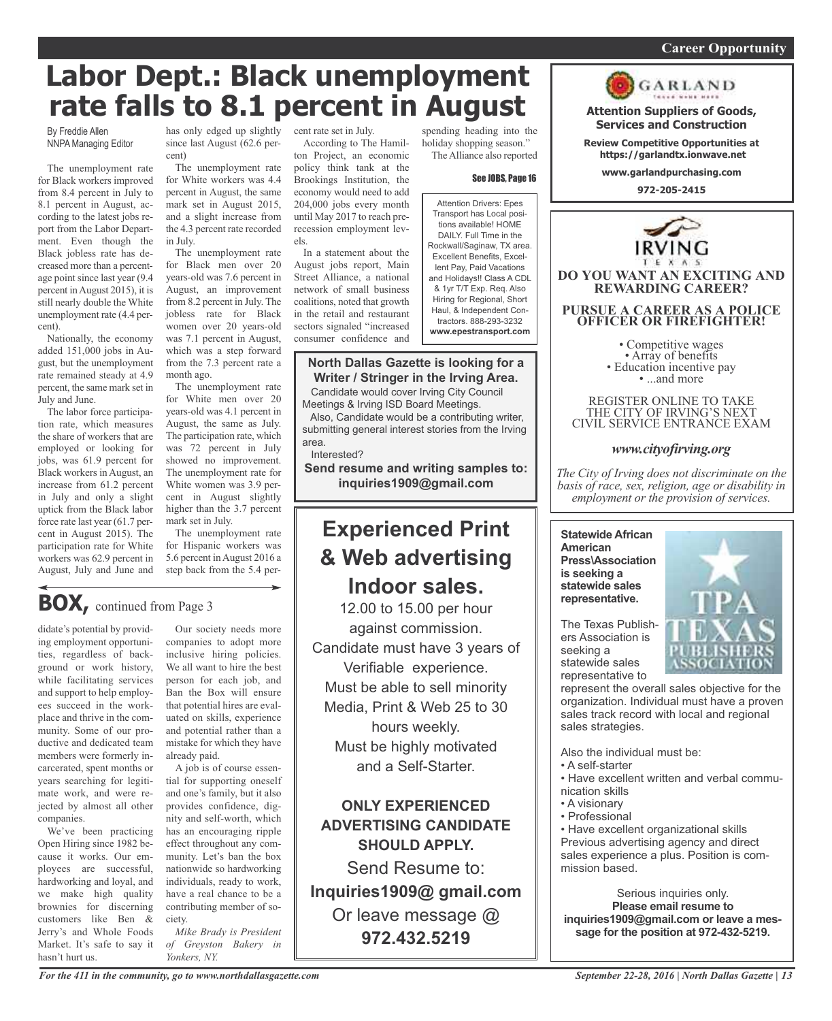## *On a quest for qualified candidates? Contact Nina Garcia at 972-509-9049* **Career Opportunity**

# **Labor Dept.: Black unemployment rate falls to 8.1 percent in August**

By Freddie Allen NNPA Managing Editor

The unemployment rate for Black workers improved from 8.4 percent in July to 8.1 percent in August, according to the latest jobs report from the Labor Department. Even though the Black jobless rate has decreased more than a percentage point since last year (9.4 percent inAugust 2015), it is still nearly double the White unemployment rate (4.4 percent).

Nationally, the economy added 151,000 jobs in August, but the unemployment rate remained steady at 4.9 percent, the same mark set in July and June.

The labor force participation rate, which measures the share of workers that are employed or looking for jobs, was 61.9 percent for Black workers in August, an increase from 61.2 percent in July and only a slight uptick from the Black labor force rate last year (61.7 percent in August 2015). The participation rate for White workers was 62.9 percent in August, July and June and

has only edged up slightly cent rate set in July. since last August (62.6 percent)

The unemployment rate for White workers was 4.4 percent in August, the same mark set in August 2015, and a slight increase from the 4.3 percent rate recorded in July.

The unemployment rate for Black men over 20 years-old was 7.6 percent in August, an improvement from 8.2 percent in July. The jobless rate for Black women over 20 years-old was 7.1 percent in August, which was a step forward from the 7.3 percent rate a month ago.

The unemployment rate for White men over 20 years-old was 4.1 percent in August, the same as July. The participation rate, which was 72 percent in July showed no improvement. The unemployment rate for White women was 3.9 percent in August slightly higher than the 3.7 percent mark set in July.

The unemployment rate for Hispanic workers was 5.6 percent inAugust 2016 a step back from the 5.4 per-

# **BOX,** continued from Page <sup>3</sup>

didate's potential by providing employment opportunities, regardless of background or work history, while facilitating services and support to help employees succeed in the workplace and thrive in the community. Some of our productive and dedicated team members were formerly incarcerated, spent months or years searching for legitimate work, and were rejected by almost all other companies.

We've been practicing Open Hiring since 1982 because it works. Our employees are successful, hardworking and loyal, and we make high quality brownies for discerning customers like Ben & Jerry's and Whole Foods Market. It's safe to say it hasn't hurt us.

Our society needs more companies to adopt more inclusive hiring policies. We all want to hire the best person for each job, and Ban the Box will ensure that potential hires are evaluated on skills, experience and potential rather than a mistake for which they have already paid.

A job is of course essential for supporting oneself and one's family, but it also provides confidence, dignity and self-worth, which has an encouraging ripple effect throughout any community. Let's ban the box nationwide so hardworking individuals, ready to work, have a real chance to be a contributing member of society.

*Mike Brady is President of Greyston Bakery in Yonkers, NY.*

According to The Hamilton Project, an economic policy think tank at the Brookings Institution, the economy would need to add 204,000 jobs every month until May 2017 to reach prerecession employment levels.

In a statement about the August jobs report, Main Street Alliance, a national network of small business coalitions, noted that growth in the retail and restaurant sectors signaled "increased consumer confidence and

# **North Dallas Gazette is looking for a Writer / Stringer in the Irving Area.**

Candidate would cover Irving City Council Meetings & Irving ISD Board Meetings.

Also, Candidate would be a contributing writer, submitting general interest stories from the Irving area.

Interested?

**Send resume and writing samples to: inquiries1909@gmail.com**

# **Experienced Print & Web advertising Indoor sales.**

12.00 to 15.00 per hour against commission. Candidate must have 3 years of Verifiable experience. Must be able to sell minority Media, Print & Web 25 to 30 hours weekly. Must be highly motivated and a Self-Starter.

**ONLY EXPERIENCED ADVERTISING CANDIDATE SHOULD APPLY.**

Send Resume to: **Inquiries1909@ gmail.com** Or leave message @ **972.432.5219**

spending heading into the holiday shopping season." TheAlliance also reported

#### See JOBS, Page 16

Attention Drivers: Epes Transport has Local positions available! HOME DAILY. Full Time in the Rockwall/Saginaw, TX area. Excellent Benefits, Excellent Pay, Paid Vacations and Holidays!! Class A CDL & 1yr T/T Exp. Req. Also Hiring for Regional, Short Haul, & Independent Contractors. 888-293-3232 **www.epestransport.com**



**www.garlandpurchasing.com**

**972-205-2415**



REGISTER ONLINE TO TAKE THE CITY OF IRVING'S NEXT CIVIL SERVICE ENTRANCE EXAM

# *www.cityofirving.org*

*The City of Irving does not discriminate on the basis of race, sex, religion, age or disability in employment or the provision of services.*

**Statewide African American Press\Association is seeking a statewide sales representative.**



The Texas Publishers Association is seeking a statewide sales representative to

represent the overall sales objective for the organization. Individual must have a proven sales track record with local and regional sales strategies.

Also the individual must be:

- A self-starter
- Have excellent written and verbal communication skills
- A visionary
- Professional

• Have excellent organizational skills Previous advertising agency and direct sales experience a plus. Position is commission based.

Serious inquiries only. **Please email resume to inquiries1909@gmail.com or leave a message for the position at 972-432-5219.**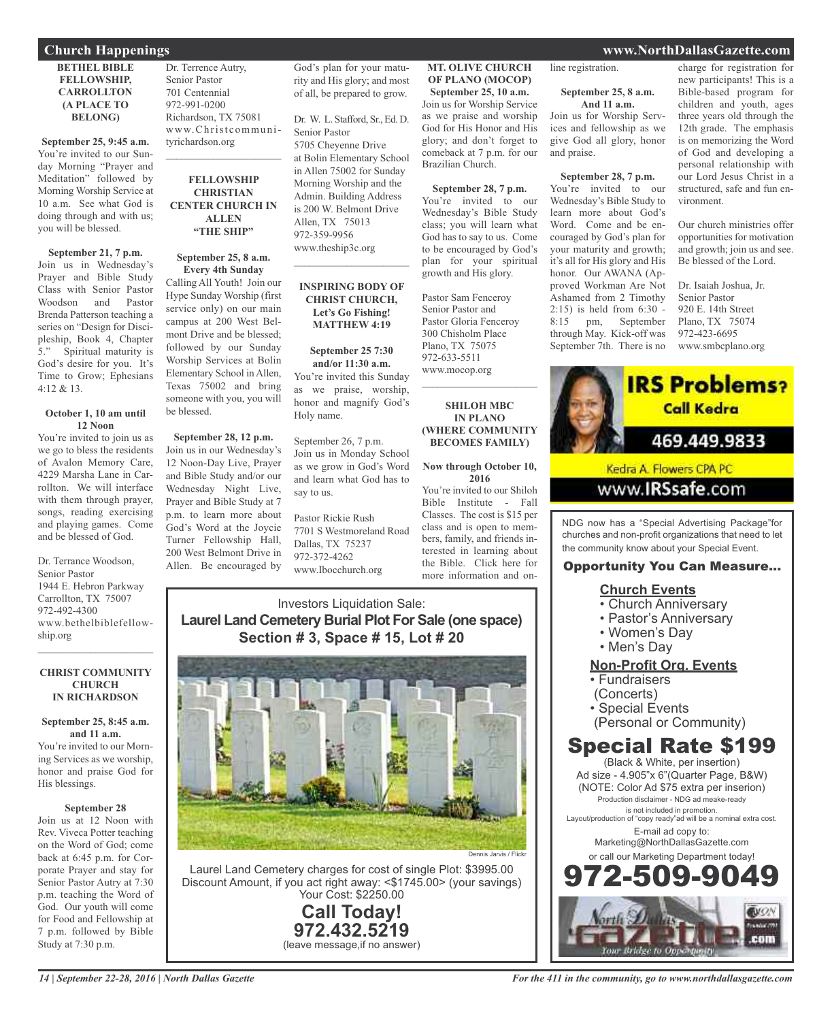### **BETHEL BIBLE FELLOWSHIP, CARROLLTON (A PLACE TO BELONG)**

**September 25, 9:45 a.m.** You're invited to our Sunday Morning "Prayer and Meditation" followed by Morning Worship Service at 10 a.m. See what God is doing through and with us; you will be blessed.

# **September 21, 7 p.m.**

Join us in Wednesday's Prayer and Bible Study Class with Senior Pastor Woodson and Pastor Brenda Patterson teaching a series on "Design for Discipleship, Book 4, Chapter<br>5." Spiritual maturity is Spiritual maturity is God's desire for you. It's Time to Grow; Ephesians 4:12 & 13.

#### **October 1, 10 am until 12 Noon**

You're invited to join us as we go to bless the residents of Avalon Memory Care, 4229 Marsha Lane in Carrollton. We will interface with them through prayer, songs, reading exercising and playing games. Come and be blessed of God.

Dr. Terrance Woodson, Senior Pastor 1944 E. Hebron Parkway Carrollton, TX 75007 972-492-4300 www.bethelbiblefellowship.org

#### **CHRIST COMMUNITY CHURCH IN RICHARDSON**

 $\mathcal{L}_\text{max}$  , which is a set of the set of the set of the set of the set of the set of the set of the set of the set of the set of the set of the set of the set of the set of the set of the set of the set of the set of

# **September 25, 8:45 a.m. and 11 a.m.** You're invited to our Morn-

ing Services as we worship, honor and praise God for His blessings.

### **September 28**

Join us at 12 Noon with Rev. Viveca Potter teaching on the Word of God; come back at 6:45 p.m. for Corporate Prayer and stay for Senior Pastor Autry at 7:30 p.m. teaching the Word of God. Our youth will come for Food and Fellowship at 7 p.m. followed by Bible Study at 7:30 p.m.

Dr. Terrence Autry, Senior Pastor 701 Centennial 972-991-0200 Richardson, TX 75081 www.Christcommunityrichardson.org  $\mathcal{L}_\text{max}$  and  $\mathcal{L}_\text{max}$  and  $\mathcal{L}_\text{max}$ 

### **FELLOWSHIP CHRISTIAN CENTER CHURCH IN ALLEN "THE SHIP"**

### **September 25, 8 a.m. Every 4th Sunday**

Calling All Youth! Join our Hype Sunday Worship (first service only) on our main campus at 200 West Belmont Drive and be blessed; followed by our Sunday Worship Services at Bolin Elementary School in Allen, Texas 75002 and bring someone with you, you will be blessed.

**September 28, 12 p.m.** Join us in our Wednesday's 12 Noon-Day Live, Prayer and Bible Study and/or our Wednesday Night Live, Prayer and Bible Study at 7 p.m. to learn more about God's Word at the Joycie Turner Fellowship Hall, 200 West Belmont Drive in Allen. Be encouraged by

God's plan for your maturity and His glory; and most of all, be prepared to grow.

Dr. W. L. Stafford, Sr., Ed. D. Senior Pastor 5705 Cheyenne Drive at Bolin Elementary School in Allen 75002 for Sunday Morning Worship and the Admin. Building Address is 200 W. Belmont Drive Allen, TX 75013 972-359-9956 www.theship3c.org

### **INSPIRING BODY OF CHRIST CHURCH, Let's Go Fishing! MATTHEW 4:19**

 $\overline{\phantom{a}}$  , and the set of the set of the set of the set of the set of the set of the set of the set of the set of the set of the set of the set of the set of the set of the set of the set of the set of the set of the s

**September 25 7:30 and/or 11:30 a.m.** You're invited this Sunday as we praise, worship, honor and magnify God's Holy name.

September 26, 7 p.m. Join us in Monday School as we grow in God's Word and learn what God has to say to us.

Pastor Rickie Rush 7701 S Westmoreland Road Dallas, TX 75237 972-372-4262 www.Ibocchurch.org

### **MT. OLIVE CHURCH OF PLANO (MOCOP) September 25, 10 a.m.**

Join us for Worship Service as we praise and worship God for His Honor and His glory; and don't forget to comeback at 7 p.m. for our Brazilian Church.

# **September 28, 7 p.m.**

You're invited to our Wednesday's Bible Study class; you will learn what God has to say to us. Come to be encouraged by God's plan for your spiritual growth and His glory.

Pastor Sam Fenceroy Senior Pastor and Pastor Gloria Fenceroy 300 Chisholm Place Plano, TX 75075 972-633-5511 www.mocop.org

**SHILOH MBC IN PLANO (WHERE COMMUNITY BECOMES FAMILY)**

 $\mathcal{L}=\mathcal{L}^{\mathcal{L}}$  , where  $\mathcal{L}^{\mathcal{L}}$  , we have the set of the set of the set of the set of the set of the set of the set of the set of the set of the set of the set of the set of the set of the set of the set of

#### **Now through October 10, 2016**

You're invited to our Shiloh Bible Institute - Fall Classes. The cost is \$15 per class and is open to members, family, and friends interested in learning about the Bible. Click here for more information and on-

# Investors Liquidation Sale: **Laurel Land Cemetery Burial Plot For Sale (one space) Section # 3, Space # 15, Lot # 20**



Laurel Land Cemetery charges for cost of single Plot: \$3995.00 Discount Amount, if you act right away: <\$1745.00> (your savings) Your Cost: \$2250.00

> **Call Today! 972.432.5219** (leave message,if no answer)

# **Church Happenings www.NorthDallasGazette.com**

line registration.

#### **September 25, 8 a.m. And 11 a.m.**

Join us for Worship Services and fellowship as we give God all glory, honor and praise.

## **September 28, 7 p.m.**

You're invited to our Wednesday's Bible Study to learn more about God's Word. Come and be encouraged by God's plan for your maturity and growth; it's all for His glory and His honor. Our AWANA (Approved Workman Are Not Ashamed from 2 Timothy 2:15) is held from 6:30 - 8:15 pm, September through May. Kick-off was September 7th. There is no charge for registration for new participants! This is a Bible-based program for children and youth, ages three years old through the 12th grade. The emphasis is on memorizing the Word of God and developing a personal relationship with our Lord Jesus Christ in a structured, safe and fun environment.

Our church ministries offer opportunities for motivation and growth; join us and see. Be blessed of the Lord.

Dr. Isaiah Joshua, Jr. Senior Pastor 920 E. 14th Street Plano, TX 75074 972-423-6695 www.smbcplano.org



Kedra A. Flowers CPA PC

# www.**IRSsafe.com**

NDG now has a "Special Advertising Package"for churches and non-profit organizations that need to let the community know about your Special Event.

# Opportunity You Can Measure...

# **Church Events**

- Church Anniversary
- Pastor's Anniversary
- Women's Day
- Men's Day

# **Non-Profit Org. Events**

- Fundraisers
- (Concerts)
- Special Events
- (Personal or Community)

# Special Rate \$199

(Black & White, per insertion) Ad size - 4.905"x 6"(Quarter Page, B&W) (NOTE: Color Ad \$75 extra per inserion) Production disclaimer - NDG ad meake-ready is not included in promotion. Layout/production of "copy ready"ad will be a nominal extra cost. E-mail ad copy to: Marketing@NorthDallasGazette.com or call our Marketing Department today! 972-509-9049

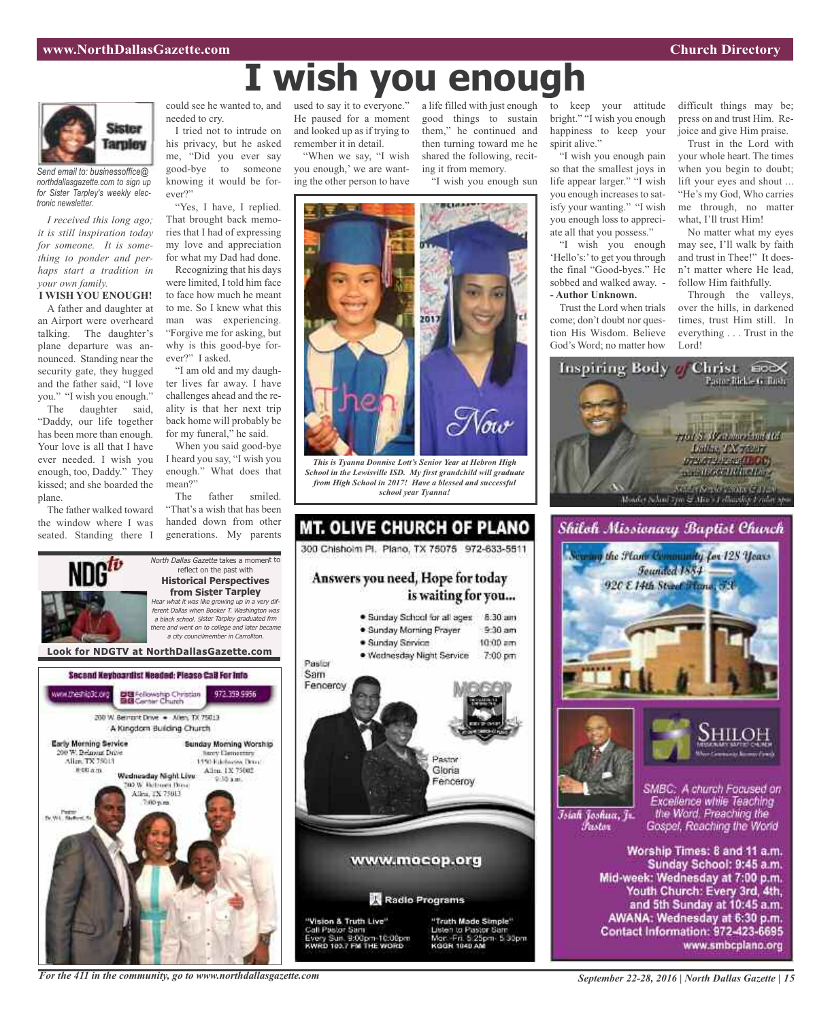# **I wish you enough**



*Send email to: businessoffice@ northdallasgazette.com to sign up for Sister Tarpley's weekly electronic newsletter.*

*I received this long ago; it is still inspiration today for someone. It is something to ponder and perhaps start a tradition in your own family.*

**I WISH YOU ENOUGH!** A father and daughter at an Airport were overheard talking. The daughter's plane departure was announced. Standing near the security gate, they hugged and the father said, "I love you." "I wish you enough."

The daughter said, "Daddy, our life together has been more than enough. Your love is all that I have ever needed. I wish you enough, too, Daddy." They kissed; and she boarded the plane.

The father walked toward the window where I was seated. Standing there I could see he wanted to, and needed to cry.

I tried not to intrude on his privacy, but he asked me, "Did you ever say good-bye to someone knowing it would be forever?"

"Yes, I have, I replied. That brought back memories that I had of expressing my love and appreciation for what my Dad had done.

Recognizing that his days were limited, I told him face to face how much he meant to me. So I knew what this man was experiencing. "Forgive me for asking, but why is this good-bye forever?" I asked.

"I am old and my daughter lives far away. I have challenges ahead and the reality is that her next trip back home will probably be for my funeral," he said.

When you said good-bye I heard you say, "I wish you enough." What does that mean?"

The father smiled. "That's a wish that has been handed down from other generations. My parents

North Dallas Gazette takes a moment to reflect on the past with

used to say it to everyone." He paused for a moment and looked up as if trying to remember it in detail.

"When we say, "I wish you enough,' we are wanting the other person to have

a life filled with just enough to keep your attitude good things to sustain them," he continued and then turning toward me he shared the following, reciting it from memory.

"I wish you enough sun



*This is Tyanna Donnise Lott's Senior Year at Hebron High School in the Lewisville ISD. My first grandchild will graduate from High School in 2017! Have a blessed and successful school year Tyanna!*



bright." "I wish you enough happiness to keep your spirit alive."

"I wish you enough pain so that the smallest joys in life appear larger." "I wish you enough increases to satisfy your wanting." "I wish you enough loss to appreciate all that you possess."

"I wish you enough 'Hello's:'to get you through the final "Good-byes." He sobbed and walked away. - **- Author Unknown.**

Trust the Lord when trials come; don't doubt nor question His Wisdom. Believe God's Word; no matter how

Islah Joshua, Jr.

*Tustov* 

difficult things may be; press on and trust Him. Rejoice and give Him praise.

Trust in the Lord with your whole heart. The times when you begin to doubt; lift your eyes and shout ... "He's my God, Who carries me through, no matter what, I'll trust Him!

No matter what my eyes may see, I'll walk by faith and trust in Thee!" It doesn't matter where He lead, follow Him faithfully.

Through the valleys, over the hills, in darkened times, trust Him still. In everything . . . Trust in the Lord!





SMBC: A church Focused on Excellence while Teaching the Word. Preaching the Gospel, Reaching the World

Worship Times: 8 and 11 a.m. Sunday School: 9:45 a.m. Mid-week: Wednesday at 7:00 p.m. Youth Church: Every 3rd, 4th, and 5th Sunday at 10:45 a.m. AWANA: Wednesday at 6:30 p.m. Contact Information: 972-423-6695 www.smbcplano.org

**Historical Perspectives from Sister Tarpley** Hear what it was like growing up in <sup>a</sup> very different Dallas when Booker T. Washington was <sup>a</sup> black school. Sister Tarpley graduated frm there and went on to college and later became <sup>a</sup> city councilmember in Carrollton. **Look for NDGTV at NorthDallasGazette.com**Second Keyboardist Needed: Please CaB For Info DE Fellowship Christian<br>BIB Center Church ww.theship3c.org 972.359.9956 200 W. Bernsht Drive . - Allen, TX 75013 A Kingdom Building Church **Early Morning Service** Sunday Morning Worship 0 W. Belmunt Drive **Novy Demectors** Alice TX 75013 1450 Ethnologies Drug-Allen, 1X 75002 **图 00 点 图** Wadnasday Night Live **DO W. Retroem Days** Allen, TX 75013 Tv.Wit. New

*For the 411 in the community, go to www.northdallasgazette.com*